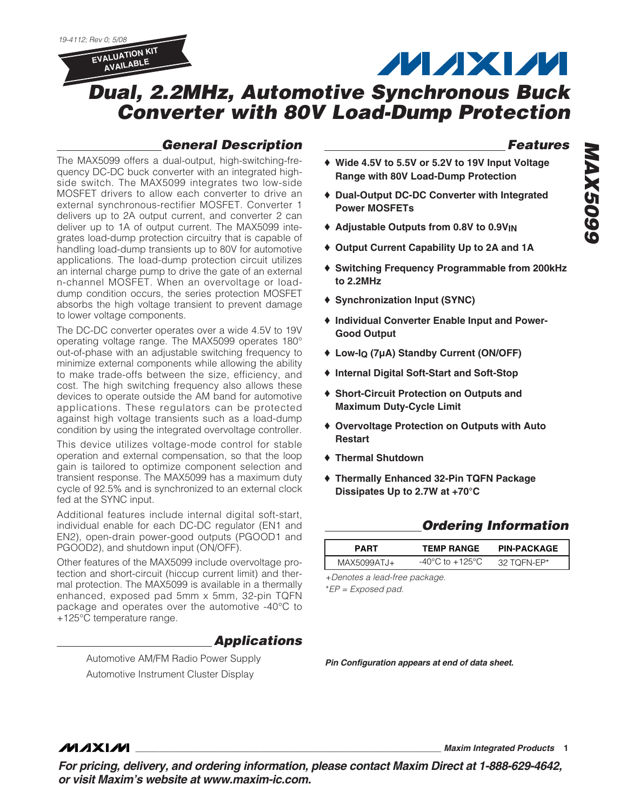19-4112; Rev 0; 5/08



# **MAXM**

# **Dual, 2.2MHz, Automotive Synchronous Buck Converter with 80V Load-Dump Protection**

### **General Description**

The MAX5099 offers a dual-output, high-switching-frequency DC-DC buck converter with an integrated highside switch. The MAX5099 integrates two low-side MOSFET drivers to allow each converter to drive an external synchronous-rectifier MOSFET. Converter 1 delivers up to 2A output current, and converter 2 can deliver up to 1A of output current. The MAX5099 integrates load-dump protection circuitry that is capable of handling load-dump transients up to 80V for automotive applications. The load-dump protection circuit utilizes an internal charge pump to drive the gate of an external n-channel MOSFET. When an overvoltage or loaddump condition occurs, the series protection MOSFET absorbs the high voltage transient to prevent damage to lower voltage components.

The DC-DC converter operates over a wide 4.5V to 19V operating voltage range. The MAX5099 operates 180° out-of-phase with an adjustable switching frequency to minimize external components while allowing the ability to make trade-offs between the size, efficiency, and cost. The high switching frequency also allows these devices to operate outside the AM band for automotive applications. These regulators can be protected against high voltage transients such as a load-dump condition by using the integrated overvoltage controller.

This device utilizes voltage-mode control for stable operation and external compensation, so that the loop gain is tailored to optimize component selection and transient response. The MAX5099 has a maximum duty cycle of 92.5% and is synchronized to an external clock fed at the SYNC input.

Additional features include internal digital soft-start, individual enable for each DC-DC regulator (EN1 and EN2), open-drain power-good outputs (PGOOD1 and PGOOD2), and shutdown input (ON/OFF).

Other features of the MAX5099 include overvoltage protection and short-circuit (hiccup current limit) and thermal protection. The MAX5099 is available in a thermally enhanced, exposed pad 5mm x 5mm, 32-pin TQFN package and operates over the automotive -40°C to +125°C temperature range.

### **Applications**

Automotive AM/FM Radio Power Supply Automotive Instrument Cluster Display

### **Features**

- ♦ **Wide 4.5V to 5.5V or 5.2V to 19V Input Voltage Range with 80V Load-Dump Protection**
- ♦ **Dual-Output DC-DC Converter with Integrated Power MOSFETs**
- ♦ **Adjustable Outputs from 0.8V to 0.9VIN**
- ♦ **Output Current Capability Up to 2A and 1A**
- ♦ **Switching Frequency Programmable from 200kHz to 2.2MHz**
- ♦ **Synchronization Input (SYNC)**
- ♦ **Individual Converter Enable Input and Power-Good Output**
- ♦ **Low-IQ (7µA) Standby Current (ON/OFF)**
- ♦ **Internal Digital Soft-Start and Soft-Stop**
- ♦ **Short-Circuit Protection on Outputs and Maximum Duty-Cycle Limit**
- ♦ **Overvoltage Protection on Outputs with Auto Restart**
- ♦ **Thermal Shutdown**
- ♦ **Thermally Enhanced 32-Pin TQFN Package Dissipates Up to 2.7W at +70°C**

### **Ordering Information**

| PART        | <b>TEMP RANGE</b> | <b>PIN-PACKAGE</b> |  |
|-------------|-------------------|--------------------|--|
| MAX5099ATJ+ | -40°C to +125°C   | 32 TOFN-FP*        |  |

+Denotes a lead-free package.

\*EP = Exposed pad.

**Pin Configuration appears at end of data sheet.**

### **MAXIM**

**\_\_\_\_\_\_\_\_\_\_\_\_\_\_\_\_\_\_\_\_\_\_\_\_\_\_\_\_\_\_\_\_\_\_\_\_\_\_\_\_\_\_\_\_\_\_\_\_\_\_\_\_\_\_\_\_\_\_\_\_\_\_\_\_ Maxim Integrated Products 1**

**For pricing, delivery, and ordering information, please contact Maxim Direct at 1-888-629-4642, or visit Maxim's website at www.maxim-ic.com.**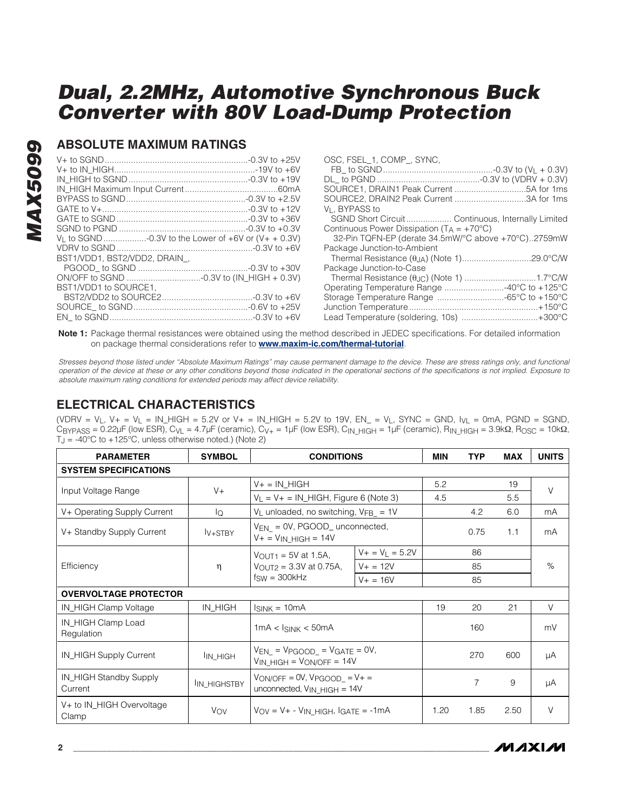### **ABSOLUTE MAXIMUM RATINGS**

| BST1/VDD1. BST2/VDD2. DRAIN. |  |
|------------------------------|--|
|                              |  |
|                              |  |
| BST1/VDD1 to SOURCE1.        |  |
|                              |  |
|                              |  |
|                              |  |

| USC, FSEL 1, COMP, SYNC,                              |
|-------------------------------------------------------|
|                                                       |
|                                                       |
|                                                       |
| SOURCE2, DRAIN2 Peak Current 3A for 1ms               |
| V <sub>I</sub> . BYPASS to                            |
|                                                       |
| Continuous Power Dissipation ( $T_A = +70^{\circ}C$ ) |
| 32-Pin TQFN-EP (derate 34.5mW/°C above +70°C)2759mW   |
| Package Junction-to-Ambient                           |
|                                                       |
| Package Junction-to-Case                              |
|                                                       |
|                                                       |
|                                                       |
|                                                       |
| Lead Temperature (soldering, 10s) +300°C              |

 $\overline{0}$ 

**Note 1:** Package thermal resistances were obtained using the method described in JEDEC specifications. For detailed information on package thermal considerations refer to **www.maxim-ic.com/thermal-tutorial**.

Stresses beyond those listed under "Absolute Maximum Ratings" may cause permanent damage to the device. These are stress ratings only, and functional operation of the device at these or any other conditions beyond those indicated in the operational sections of the specifications is not implied. Exposure to absolute maximum rating conditions for extended periods may affect device reliability.

### **ELECTRICAL CHARACTERISTICS**

(VDRV =  $V_L$ , V+ =  $V_L$  = IN\_HIGH = 5.2V or V+ = IN\_HIGH = 5.2V to 19V, EN\_ =  $V_L$ , SYNC = GND,  $V_L$  = 0mA, PGND = SGND, CBYPASS = 0.22μF (low ESR), CvL = 4.7μF (ceramic), Cv<sub>+</sub> = 1μF (low ESR), C<sub>IN</sub> HIGH = 1μF (ceramic), RIN HIGH = 3.9kΩ, R<sub>OSC</sub> = 10kΩ,  $T_J = -40^{\circ}$ C to  $+125^{\circ}$ C, unless otherwise noted.) (Note 2)

| <b>PARAMETER</b>                   | <b>SYMBOL</b>        | <b>CONDITIONS</b>                                                         |                      | <b>MIN</b> | <b>TYP</b>     | <b>MAX</b> | <b>UNITS</b> |
|------------------------------------|----------------------|---------------------------------------------------------------------------|----------------------|------------|----------------|------------|--------------|
| <b>SYSTEM SPECIFICATIONS</b>       |                      |                                                                           |                      |            |                |            |              |
|                                    |                      | V+ = IN_HIGH                                                              |                      | 5.2        |                | 19         | $\vee$       |
| Input Voltage Range                | $V +$                | $V_L = V + = IN_H GH$ , Figure 6 (Note 3)                                 |                      | 4.5        |                | 5.5        |              |
| V+ Operating Supply Current        | lo                   | $V_L$ unloaded, no switching, $V_{FB}$ = 1V                               |                      |            | 4.2            | 6.0        | mA           |
| V+ Standby Supply Current          | $I_{V+STBY}$         | $V_{EN} = 0V$ , PGOOD_ unconnected,<br>V+ = V <sub>IN_HIGH</sub> = 14V    |                      |            | 0.75           | 1.1        | mA           |
|                                    |                      | $V_{\text{OUT1}} = 5V$ at 1.5A,                                           | $V + V = V_L = 5.2V$ |            | 86             |            |              |
| Efficiency                         | $\eta$               | $V_{\text{OUT2}} = 3.3V$ at 0.75A,                                        | $V + = 12V$          |            | 85             |            | $\%$         |
|                                    |                      | $f_{SW} = 300kHz$<br>$V + 16V$                                            |                      |            | 85             |            |              |
| <b>OVERVOLTAGE PROTECTOR</b>       |                      |                                                                           |                      |            |                |            |              |
| IN_HIGH Clamp Voltage              | IN_HIGH              | $I_{SINK} = 10mA$                                                         |                      | 19         | 20             | 21         | $\vee$       |
| IN_HIGH Clamp Load<br>Regulation   |                      | $1mA < I_{SINK} < 50mA$                                                   |                      |            | 160            |            | mV           |
| IN_HIGH Supply Current             | I <sub>IN_HIGH</sub> | $V_{EN} = V_{PGOOD} = V_{GATE} = 0V,$<br>$V_{IN_HIGH} = V_{ON/OFF} = 14V$ |                      |            | 270            | 600        | μA           |
| IN_HIGH Standby Supply<br>Current  | IN HIGHSTBY          | $VON/OFF = OV, VPGOOD = V +=$<br>unconnected, $V_{IN\_HIGH} = 14V$        |                      |            | $\overline{7}$ | 9          | μA           |
| V+ to IN_HIGH Overvoltage<br>Clamp | Vov                  | $V_{OV} = V + - V_{IN}$ HIGH, $I_{GATE} = -1mA$                           |                      | 1.20       | 1.85           | 2.50       | $\vee$       |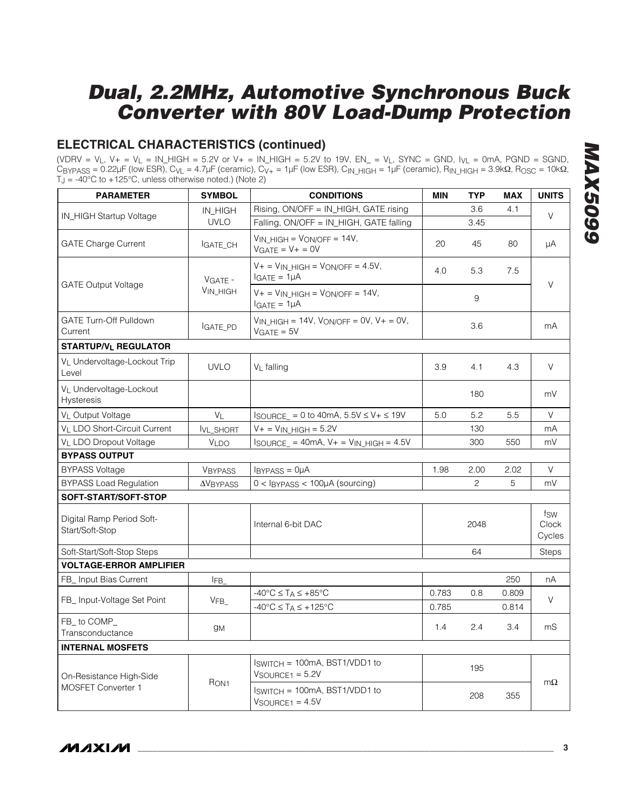### **ELECTRICAL CHARACTERISTICS (continued)**

(VDRV =  $V_L$ , V+ =  $V_L$  = IN\_HIGH = 5.2V or V+ = IN\_HIGH = 5.2V to 19V, EN\_ =  $V_L$ , SYNC = GND,  $V_L$  = 0mA, PGND = SGND,  $C_{\text{BYPASS}} = 0.22 \mu\text{F (low ESR)}$ ,  $C_{\text{VL}} = 4.7 \mu\text{F (ceramic)}$ ,  $C_{\text{V+}} = 1 \mu\text{F (low ESR)}$ ,  $C_{\text{IN\_HIGH}} = 1 \mu\text{F (ceramic)}$ ,  $R_{\text{IN\_HIGH}} = 3.9 \text{k}\Omega$ ,  $R_{\text{OSC}} = 10 \text{k}\Omega$ ,  $T_J = -40^{\circ}$ C to  $+125^{\circ}$ C, unless otherwise noted.) (Note 2)

| <b>PARAMETER</b>                                  | <b>SYMBOL</b>    | <b>CONDITIONS</b>                                                       | <b>MIN</b> | <b>TYP</b>   | <b>MAX</b> | <b>UNITS</b>           |
|---------------------------------------------------|------------------|-------------------------------------------------------------------------|------------|--------------|------------|------------------------|
| IN_HIGH Startup Voltage                           | IN_HIGH          | Rising, ON/OFF = IN_HIGH, GATE rising                                   |            | 3.6          | 4.1        | V                      |
|                                                   | <b>UVLO</b>      | Falling, ON/OFF = IN_HIGH, GATE falling                                 |            | 3.45         |            |                        |
| <b>GATE Charge Current</b>                        | IGATE_CH         | $V_{IN}$ HIGH = $V_{ON/OFF}$ = 14V,<br>$VGATE = V + = OV$               | 20         | 45           | 80         | μA                     |
|                                                   | VGATE -          | $V +$ = $V$ <sub>IN</sub> HIGH = $V$ ON/OFF = 4.5V,<br>$IGATE = 1\mu A$ | 4.0        | 5.3          | 7.5        |                        |
| <b>GATE Output Voltage</b>                        | VIN HIGH         | $V +$ = $V$ <sub>IN</sub> HIGH = $V$ ON/OFF = 14V,<br>$IGATE = 1µA$     |            | 9            |            | V                      |
| <b>GATE Turn-Off Pulldown</b><br>Current          | IGATE_PD         | $V_{IN}$ HIGH = 14V, $V_{ON/OFF}$ = 0V, V+ = 0V,<br>$VGATE = 5V$        |            | 3.6          |            | mA                     |
| <b>STARTUP/VL REGULATOR</b>                       |                  |                                                                         |            |              |            |                        |
| V <sub>I</sub> Undervoltage-Lockout Trip<br>Level | <b>UVLO</b>      | V <sub>L</sub> falling                                                  | 3.9        | 4.1          | 4.3        | V                      |
| VL Undervoltage-Lockout<br><b>Hysteresis</b>      |                  |                                                                         |            | 180          |            | mV                     |
| V <sub>I</sub> Output Voltage                     | $V_{L}$          | $I_{\text{SOURCE}} = 0$ to 40mA, $5.5V \le V + \le 19V$                 | 5.0        | 5.2          | 5.5        | V                      |
| VL LDO Short-Circuit Current                      | IVL_SHORT        | $V+ = V_{IN_HIGH} = 5.2V$                                               |            | 130          |            | mA                     |
| V <sub>L</sub> LDO Dropout Voltage                | VLDO             | $I_{\text{SOURCE}} = 40 \text{mA}, V + V_{\text{IN}} + 4.5V$            |            | 300          | 550        | mV                     |
| <b>BYPASS OUTPUT</b>                              |                  |                                                                         |            |              |            |                        |
| <b>BYPASS Voltage</b>                             | <b>VBYPASS</b>   | $IBYPASS = 0µA$                                                         | 1.98       | 2.00         | 2.02       | V                      |
| <b>BYPASS Load Regulation</b>                     | $\Delta$ VBYPASS | $0 <$ IBYPASS $<$ 100 $\mu$ A (sourcing)                                |            | $\mathbf{2}$ | 5          | mV                     |
| SOFT-START/SOFT-STOP                              |                  |                                                                         |            |              |            |                        |
| Digital Ramp Period Soft-<br>Start/Soft-Stop      |                  | Internal 6-bit DAC                                                      |            | 2048         |            | fsw<br>Clock<br>Cycles |
| Soft-Start/Soft-Stop Steps                        |                  |                                                                         |            | 64           |            | <b>Steps</b>           |
| <b>VOLTAGE-ERROR AMPLIFIER</b>                    |                  |                                                                         |            |              |            |                        |
| FB_ Input Bias Current                            | IFB_             |                                                                         |            |              | 250        | nA                     |
| FB_ Input-Voltage Set Point                       |                  | $-40^{\circ}$ C $\leq$ T <sub>A</sub> $\leq$ +85 $^{\circ}$ C           | 0.783      | 0.8          | 0.809      | V                      |
|                                                   | VFB              | $-40^{\circ}$ C $\leq$ T <sub>A</sub> $\leq$ +125°C                     | 0.785      |              | 0.814      |                        |
| FB_to COMP_<br>Transconductance                   | gм               |                                                                         | 1.4        | 2.4          | 3.4        | mS                     |
| <b>INTERNAL MOSFETS</b>                           |                  |                                                                         |            |              |            |                        |
| On-Resistance High-Side                           |                  | $ISWITCH = 100mA, BST1/VDD1 to$<br>$V$ SOURCE1 = 5.2V                   |            | 195          |            |                        |
| MOSFET Converter 1                                | R <sub>ON1</sub> | $ISWITCH = 100mA, BST1/VDD1 to$<br>$V$ SOURCE1 = $4.5V$                 |            | 208          | 355        | $m\Omega$              |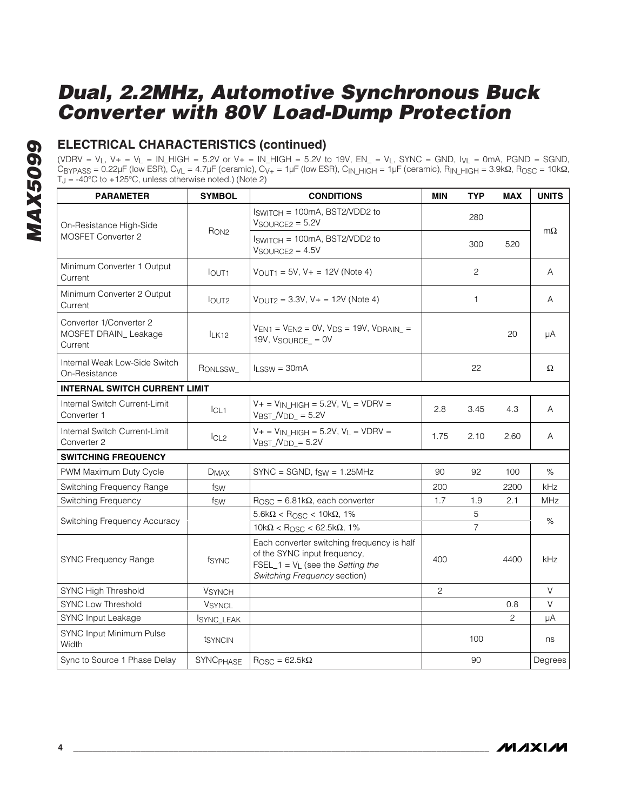### **ELECTRICAL CHARACTERISTICS (continued)**

(VDRV = V<sub>L</sub>, V+ = V<sub>L</sub> = IN\_HIGH = 5.2V or V+ = IN\_HIGH = 5.2V to 19V, EN\_ = V<sub>L</sub>, SYNC = GND, I<sub>VL</sub> = 0mA, PGND = SGND, CBYPASS = 0.22μF (low ESR), CVL = 4.7μF (ceramic), CV+ = 1μF (low ESR), CIN\_HIGH = 1μF (ceramic), RIN\_HIGH = 3.9kΩ, ROSC = 10kΩ,  $T_J = -40^{\circ}$ C to  $+125^{\circ}$ C, unless otherwise noted.) (Note 2)

| <b>PARAMETER</b>                                           | <b>SYMBOL</b>    | <b>CONDITIONS</b>                                                                                                                                 | <b>MIN</b> | <b>TYP</b>     | <b>MAX</b> | <b>UNITS</b> |  |
|------------------------------------------------------------|------------------|---------------------------------------------------------------------------------------------------------------------------------------------------|------------|----------------|------------|--------------|--|
| On-Resistance High-Side                                    |                  | Iswitch = 100mA, BST2/VDD2 to<br>$V$ SOURCE2 = 5.2V                                                                                               |            | 280            |            | $m\Omega$    |  |
| <b>MOSFET Converter 2</b>                                  | R <sub>ON2</sub> | Iswitch = 100mA, BST2/VDD2 to<br>$V$ SOURCE2 = $4.5V$                                                                                             |            | 300            | 520        |              |  |
| Minimum Converter 1 Output<br>Current                      | <b>lout1</b>     | $V_{\text{OUT1}} = 5V$ , $V_{+} = 12V$ (Note 4)                                                                                                   |            | 2              |            | A            |  |
| Minimum Converter 2 Output<br>Current                      | $I$ OUT2         | $V_{OUT2} = 3.3V$ , $V_+ = 12V$ (Note 4)                                                                                                          |            | 1              |            | A            |  |
| Converter 1/Converter 2<br>MOSFET DRAIN_Leakage<br>Current | $I_K12$          | $V_{EN1}$ = $V_{EN2}$ = 0V, $V_{DS}$ = 19V, $V_{DRAIN}$ =<br>19V, $V_{\text{SOURCE}} = 0V$                                                        |            |                | 20         | μA           |  |
| Internal Weak Low-Side Switch<br>On-Resistance             | RONLSSW_         | $l_{LSSW} = 30mA$                                                                                                                                 |            | 22             |            | Ω            |  |
| <b>INTERNAL SWITCH CURRENT LIMIT</b>                       |                  |                                                                                                                                                   |            |                |            |              |  |
| Internal Switch Current-Limit<br>Converter 1               | ICL1             | $V +$ = $V_{IN}$ HIGH = 5.2V, $V_L$ = VDRV =<br>$V_{\text{BST}}$ $N_{\text{DD}} = 5.2V$                                                           | 2.8        | 3.45           | 4.3        | A            |  |
| Internal Switch Current-Limit<br>Converter 2               | ICL2             | $V +$ = $V_{IN}$ HIGH = 5.2V, $V_L$ = VDRV =<br>$V_{\text{BST}}$ $N_{\text{DD}} = 5.2V$                                                           | 1.75       | 2.10           | 2.60       | Α            |  |
| <b>SWITCHING FREQUENCY</b>                                 |                  |                                                                                                                                                   |            |                |            |              |  |
| PWM Maximum Duty Cycle                                     | <b>DMAX</b>      | $SYNC = SGND$ , $f_{SW} = 1.25MHz$                                                                                                                | 90         | 92             | 100        | %            |  |
| Switching Frequency Range                                  | fsw              |                                                                                                                                                   | 200        |                | 2200       | kHz          |  |
| Switching Frequency                                        | fsw              | $\text{R} \text{OSC} = 6.81 \text{k}\Omega$ , each converter                                                                                      | 1.7        | 1.9            | 2.1        | <b>MHz</b>   |  |
| Switching Frequency Accuracy                               |                  | $5.6$ k $\Omega$ < Rosc < 10k $\Omega$ , 1%                                                                                                       |            | 5              |            | %            |  |
|                                                            |                  | $10k\Omega <$ R <sub>OSC</sub> < 62.5k $\Omega$ , 1%                                                                                              |            | $\overline{7}$ |            |              |  |
| <b>SYNC Frequency Range</b>                                | fsync            | Each converter switching frequency is half<br>of the SYNC input frequency,<br>FSEL_1 = $V_L$ (see the Setting the<br>Switching Frequency section) | 400        |                | 4400       | kHz          |  |
| SYNC High Threshold                                        | <b>VSYNCH</b>    |                                                                                                                                                   | 2          |                |            | V            |  |
| <b>SYNC Low Threshold</b>                                  | <b>VSYNCL</b>    |                                                                                                                                                   |            |                | 0.8        | $\vee$       |  |
| <b>SYNC Input Leakage</b>                                  | SYNC_LEAK        |                                                                                                                                                   |            |                | 2          | μA           |  |
| SYNC Input Minimum Pulse<br>Width                          | tsyncin          |                                                                                                                                                   |            | 100            |            | ns           |  |
| Sync to Source 1 Phase Delay                               | SYNCPHASE        | $R_{\text{OSC}} = 62.5 \text{k}\Omega$                                                                                                            |            | 90             |            | Degrees      |  |

**MAXIM**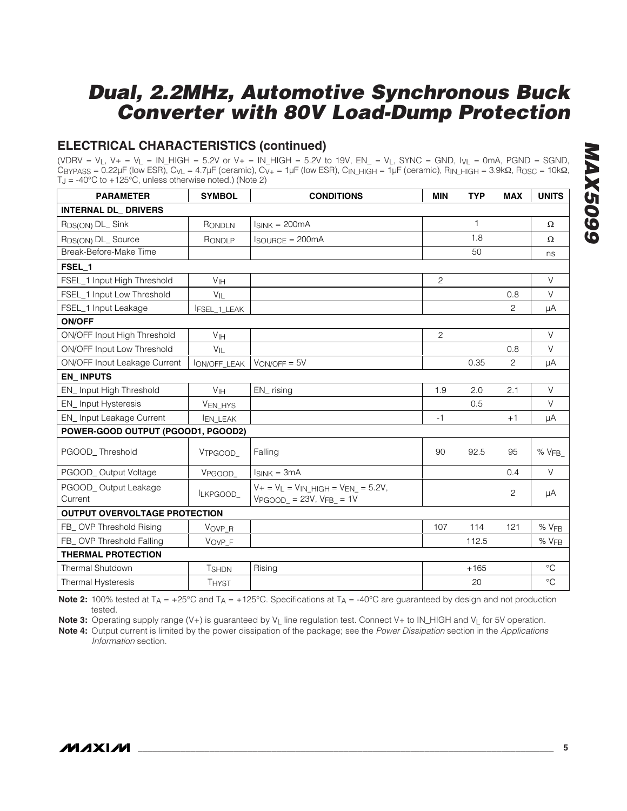### **ELECTRICAL CHARACTERISTICS (continued)**

(VDRV =  $V_L$ ,  $V_+$  =  $V_L$  = IN\_HIGH = 5.2V or  $V_+$  = IN\_HIGH = 5.2V to 19V, EN\_ =  $V_L$ , SYNC = GND,  $V_V_L$  = 0mA, PGND = SGND, CBYPASS = 0.22μF (low ESR), C<sub>VL</sub> = 4.7μF (ceramic), C<sub>V+</sub> = 1μF (low ESR), C<sub>IN</sub> HIGH = 1μF (ceramic), R<sub>IN</sub> HIGH = 3.9kΩ, R<sub>OSC</sub> = 10kΩ,  $T_J = -40^{\circ}$ C to  $+125^{\circ}$ C, unless otherwise noted.) (Note 2)

| <b>PARAMETER</b>                     | <b>SYMBOL</b>       | <b>CONDITIONS</b>                                                        | <b>MIN</b>     | <b>TYP</b>   | <b>MAX</b> | <b>UNITS</b>    |  |  |
|--------------------------------------|---------------------|--------------------------------------------------------------------------|----------------|--------------|------------|-----------------|--|--|
| <b>INTERNAL DL_ DRIVERS</b>          |                     |                                                                          |                |              |            |                 |  |  |
| R <sub>DS(ON)</sub> DL_Sink          | RONDLN              | $I_{SINK} = 200mA$                                                       |                | $\mathbf{1}$ |            | $\Omega$        |  |  |
| R <sub>DS(ON)</sub> DL_Source        | RONDLP              | <b>ISOURCE = 200mA</b>                                                   |                | 1.8          |            | $\Omega$        |  |  |
| Break-Before-Make Time               |                     |                                                                          |                | 50           |            | ns              |  |  |
| FSEL_1                               |                     |                                                                          |                |              |            |                 |  |  |
| FSEL_1 Input High Threshold          | V <sub>IH</sub>     |                                                                          | $\overline{2}$ |              |            | $\vee$          |  |  |
| FSEL_1 Input Low Threshold           | $V_{IL}$            |                                                                          |                |              | 0.8        | $\vee$          |  |  |
| FSEL_1 Input Leakage                 | FSEL_1_LEAK         |                                                                          |                |              | 2          | μA              |  |  |
| <b>ON/OFF</b>                        |                     |                                                                          |                |              |            |                 |  |  |
| ON/OFF Input High Threshold          | V <sub>IH</sub>     |                                                                          | $\overline{c}$ |              |            | $\vee$          |  |  |
| ON/OFF Input Low Threshold           | $V_{\parallel}$     |                                                                          |                |              | 0.8        | $\vee$          |  |  |
| ON/OFF Input Leakage Current         | <b>ION/OFF_LEAK</b> | $VON/OFF = 5V$                                                           |                | 0.35         | 2          | μA              |  |  |
| <b>EN_INPUTS</b>                     |                     |                                                                          |                |              |            |                 |  |  |
| EN_Input High Threshold              | V <sub>IH</sub>     | EN_rising                                                                | 1.9            | 2.0          | 2.1        | $\vee$          |  |  |
| EN_Input Hysteresis                  | VEN_HYS             |                                                                          |                | 0.5          |            | V               |  |  |
| EN_Input Leakage Current             | <b>EN_LEAK</b>      |                                                                          | $-1$           |              | $+1$       | μA              |  |  |
| POWER-GOOD OUTPUT (PGOOD1, PGOOD2)   |                     |                                                                          |                |              |            |                 |  |  |
| PGOOD Threshold                      | VTPGOOD             | Falling                                                                  | 90             | 92.5         | 95         | % $VFB$         |  |  |
| PGOOD_Output Voltage                 | VPGOOD              | $I_{SINK} = 3mA$                                                         |                |              | 0.4        | $\vee$          |  |  |
| PGOOD_Output Leakage<br>Current      | ILKPGOOD_           | $V + = V_L = V_{IN}$ HIGH = $V_{EN}$ = 5.2V,<br>$VPGOOD = 23V, VFB = 1V$ |                |              | 2          | μA              |  |  |
| <b>OUTPUT OVERVOLTAGE PROTECTION</b> |                     |                                                                          |                |              |            |                 |  |  |
| FB_OVP Threshold Rising              | VOVP_R              |                                                                          | 107            | 114          | 121        | % VFB           |  |  |
| FB_ OVP Threshold Falling            | VOVP_F              |                                                                          |                | 112.5        |            | % VFB           |  |  |
| <b>THERMAL PROTECTION</b>            |                     |                                                                          |                |              |            |                 |  |  |
| <b>Thermal Shutdown</b>              | <b>T</b> SHDN       | Rising                                                                   |                | $+165$       |            | $^{\circ}C$     |  |  |
| Thermal Hysteresis                   | <b>THYST</b>        |                                                                          |                | 20           |            | $\rm ^{\circ}C$ |  |  |

**Note 2:** 100% tested at  $T_A = +25^\circ \text{C}$  and  $T_A = +125^\circ \text{C}$ . Specifications at  $T_A = -40^\circ \text{C}$  are guaranteed by design and not production tested.

Note 3: Operating supply range (V+) is guaranteed by V<sub>L</sub> line regulation test. Connect V+ to IN\_HIGH and V<sub>L</sub> for 5V operation.

**Note 4:** Output current is limited by the power dissipation of the package; see the Power Dissipation section in the Applications Information section.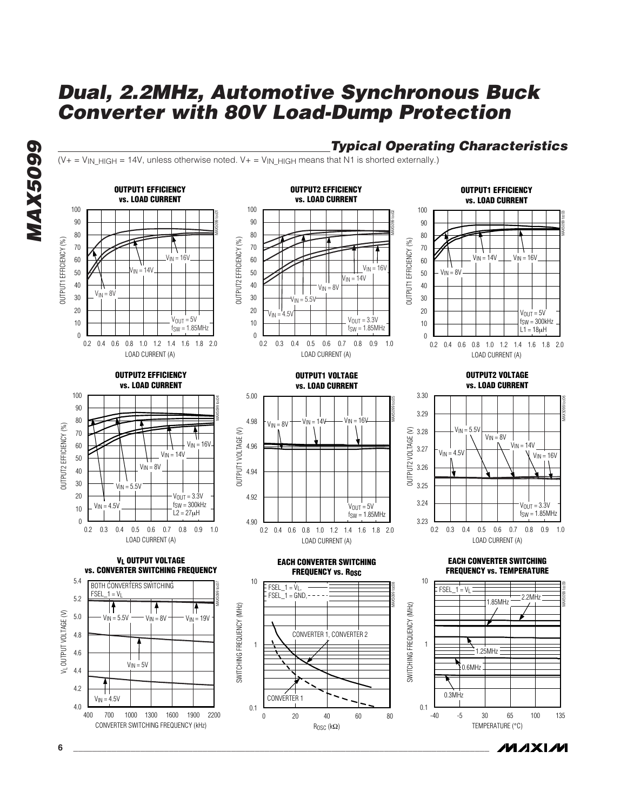

ROSC (kΩ)

### **Typical Operating Characteristics**

MAX5099 toc03

MAX5099 toc06

MAX5099 toc09

 $V_{\text{OUT}} = 5V$  $fSW = 300kHz$  $L1 = 18\mu H$ 

 $V_{\text{OUT}} = 3.3V$  $f_{SW} = 1.85$ MHz

TEMPERATURE (°C)

*IVI A* XI*IV*I

 $(V_{+} = V_{IN\_HIGH} = 14V$ , unless otherwise noted.  $V_{+} = V_{IN\_HIGH}$  means that N1 is shorted externally.)

**6 \_\_\_\_\_\_\_\_\_\_\_\_\_\_\_\_\_\_\_\_\_\_\_\_\_\_\_\_\_\_\_\_\_\_\_\_\_\_\_\_\_\_\_\_\_\_\_\_\_\_\_\_\_\_\_\_\_\_\_\_\_\_\_\_\_\_\_\_\_\_\_\_\_\_\_\_\_\_\_\_\_\_\_\_\_\_\_**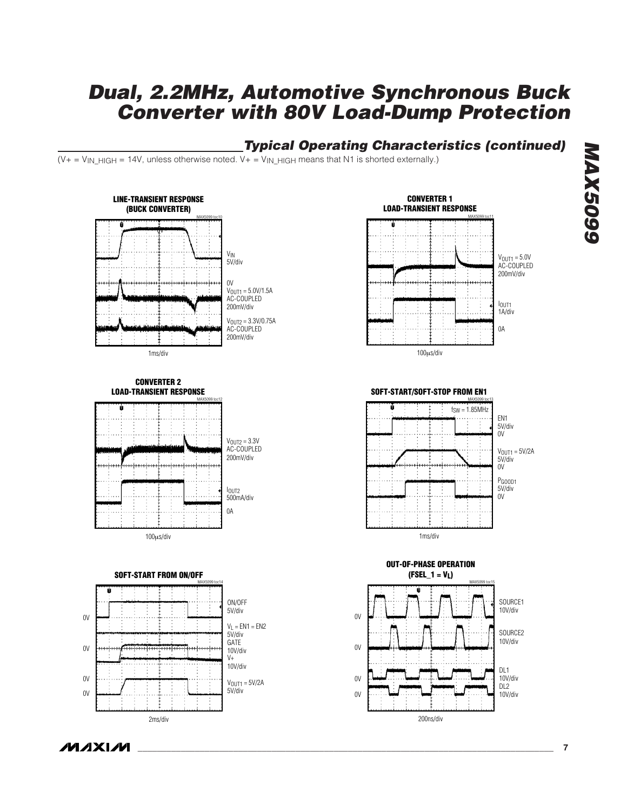### **Typical Operating Characteristics (continued)**

 $(V_{+} = V_{IN}$   $HIGH = 14V$ , unless otherwise noted.  $V_{+} = V_{IN}$   $HIGH$  means that N1 is shorted externally.)



**MAXIM**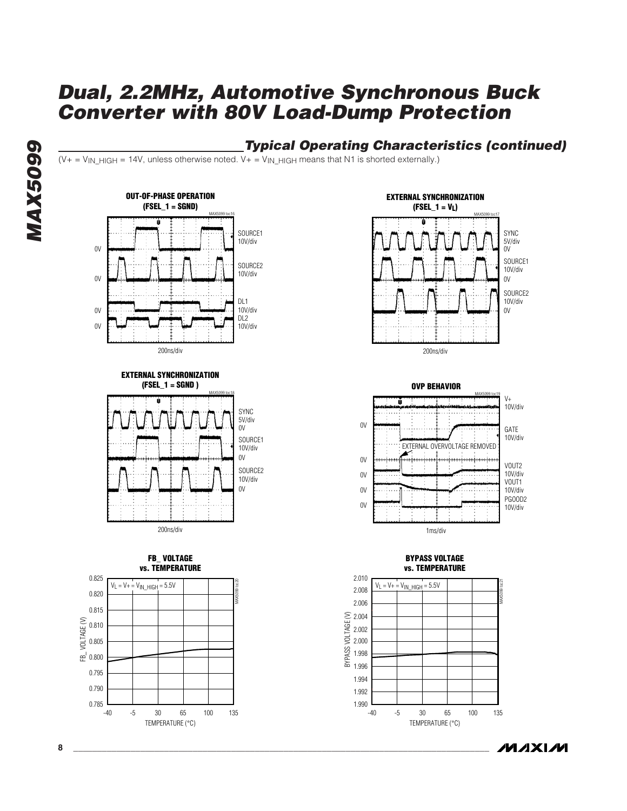

#### **Typical Operating Characteristics (continued)**  $(V_+ = V_{IN}$  HIGH = 14V, unless otherwise noted.  $V_+ = V_{IN}$  HIGH means that N1 is shorted externally.)



**EXTERNAL SYNCHRONIZATION (FSEL\_1 = SGND )**











#### **BYPASS VOLTAGE vs. TEMPERATURE**



**MAXIM**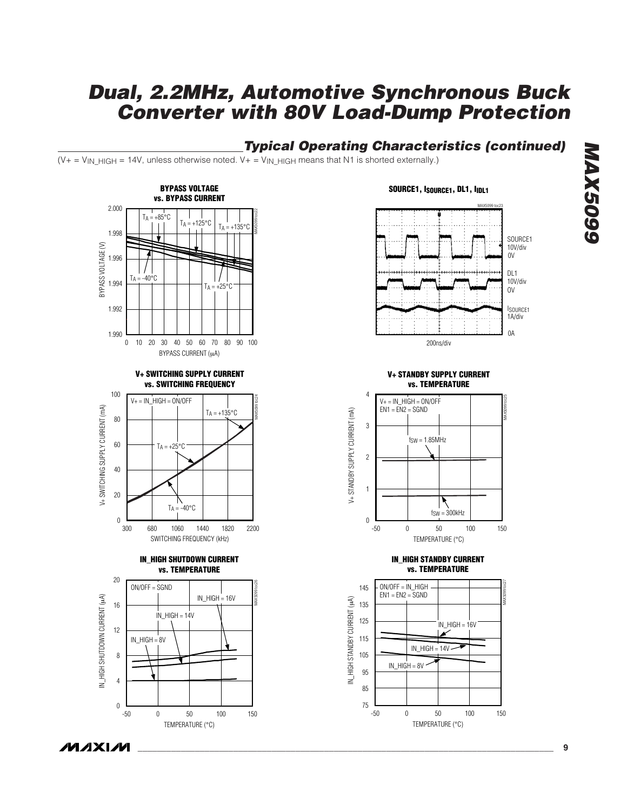### **Typical Operating Characteristics (continued)**

 $(V_{+} = V_{IN\_HIGH} = 14V$ , unless otherwise noted.  $V_{+} = V_{IN\_HIGH}$  means that N1 is shorted externally.)



#### SOURCE1, ISOURCE1, DL1, I<sub>IDL1</sub>



**V+ STANDBY SUPPLY CURRENT vs. TEMPERATURE**



#### **IN\_HIGH STANDBY CURRENT vs. TEMPERATURE**

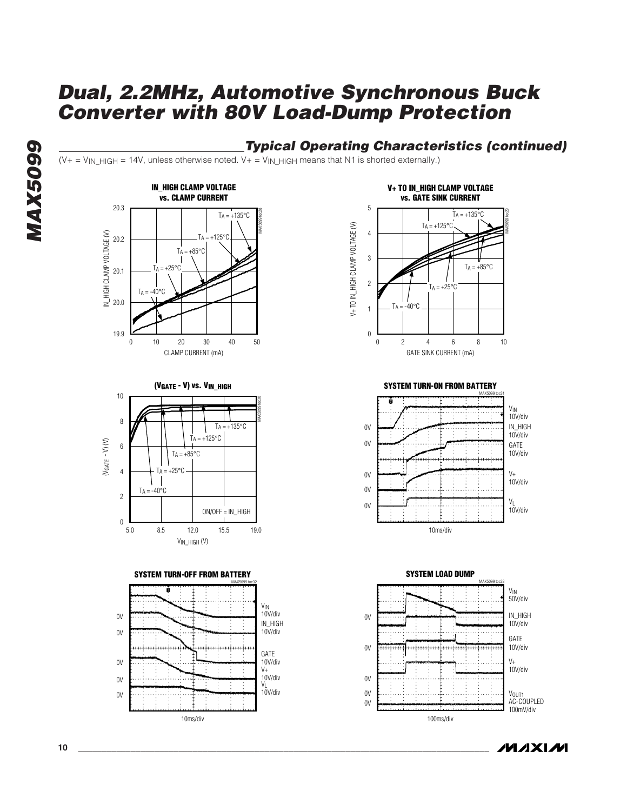#### **Typical Operating Characteristics (continued)**  $(V_+ = V_{IN}$  HIGH = 14V, unless otherwise noted.  $V_+ = V_{IN}$  HIGH means that N1 is shorted externally.) **IN\_HIGH CLAMP VOLTAGE V+ TO IN\_HIGH CLAMP VOLTAGE vs. CLAMP CURRENT vs. GATE SINK CURRENT** 20.3 5 MAX5099 toc28  $T_A = +135^{\circ}C$ MAX5099 toc29  $T_A = +135$ °C V+ TO IN\_HIGH CLAMP VOLTAGE (V)  $T_A = +125^{\circ}C$ V+ TO IN\_HIGH CLAMP VOLTAGE (V) 4 IN\_HIGH CLAMP VOLTAGE (V) IN\_HIGH CLAMP VOLTAGE (V) 20.2  $125°C$  $TA = +85^{\circ}C$ 3  $\overline{\phantom{a}}$  $TA = +85^{\circ}C$  $+25^{\circ}$ C 20.1 2  $TA = +25^{\circ}C$  $T_A = -40^{\circ}C$ 20.0  $T_A = -40$ °C 1 19.9  $\overline{0}$ 0 10 20 30 40 50 10 20 30 40 0 2 4 6 8 10 2 4 6 8 CLAMP CURRENT (mA) GATE SINK CURRENT (mA) **SYSTEM TURN-ON FROM BATTERY (VGATE - V) vs. VIN\_HIGH** 10 MAX5099 toc31 MAX5099 toc30 8  $T_A = +135^{\circ}C$ 0V  $T_A = +125$ °C  $(V<sub>GATE</sub> - V)$   $(V)$ (VGATE - V) (V)  $0V$ 6  $TA = +85^{\circ}C$  $TA = +25^{\circ}C$ 4 0V  $V<sub>+</sub>$  $\overline{\phantom{a}}$  $T_A = -40^{\circ}$ C 0V 2 0V ON/OFF = IN\_HIGH  $\theta$ 8.5 12.0 15.5 10ms/div 5.0 8.5 12.0 15.5 19.0 VIN\_HIGH (V) **SYSTEM TURN-OFF FROM BATTERY SYSTEM LOAD DUMP** MAX5099 toc32 MAX5099 toc33 V<sub>IN</sub><br>10V/div 10V/div 0V  $0V$ IN\_HIGH

10V/div<br>V<sub>L</sub> 10V/div

10V/div

 $V<sub>+</sub>$ GATE 10V/div

**MAX5099 MAX5099** 





**MAXIM** 

 $0<sup>V</sup>$ 

0V 0V  $0<sup>V</sup>$ 

10ms/div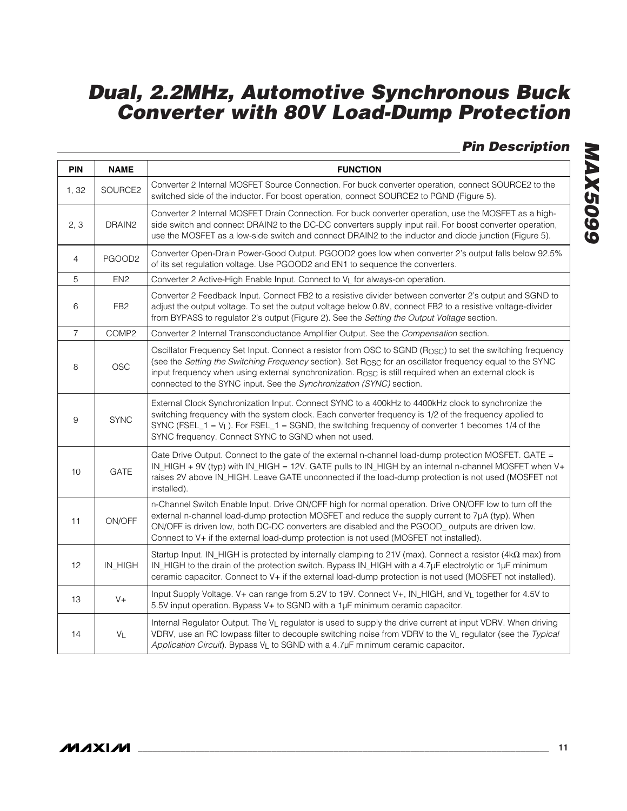### **Pin Description**

| <b>PIN</b>     | <b>NAME</b>     | <b>FUNCTION</b>                                                                                                                                                                                                                                                                                                                                                                                                                  |
|----------------|-----------------|----------------------------------------------------------------------------------------------------------------------------------------------------------------------------------------------------------------------------------------------------------------------------------------------------------------------------------------------------------------------------------------------------------------------------------|
| 1,32           | SOURCE2         | Converter 2 Internal MOSFET Source Connection. For buck converter operation, connect SOURCE2 to the<br>switched side of the inductor. For boost operation, connect SOURCE2 to PGND (Figure 5).                                                                                                                                                                                                                                   |
| 2, 3           | DRAIN2          | Converter 2 Internal MOSFET Drain Connection. For buck converter operation, use the MOSFET as a high-<br>side switch and connect DRAIN2 to the DC-DC converters supply input rail. For boost converter operation,<br>use the MOSFET as a low-side switch and connect DRAIN2 to the inductor and diode junction (Figure 5).                                                                                                       |
| $\overline{4}$ | PGOOD2          | Converter Open-Drain Power-Good Output. PGOOD2 goes low when converter 2's output falls below 92.5%<br>of its set regulation voltage. Use PGOOD2 and EN1 to sequence the converters.                                                                                                                                                                                                                                             |
| $\overline{5}$ | EN <sub>2</sub> | Converter 2 Active-High Enable Input. Connect to VL for always-on operation.                                                                                                                                                                                                                                                                                                                                                     |
| 6              | FB <sub>2</sub> | Converter 2 Feedback Input. Connect FB2 to a resistive divider between converter 2's output and SGND to<br>adjust the output voltage. To set the output voltage below 0.8V, connect FB2 to a resistive voltage-divider<br>from BYPASS to regulator 2's output (Figure 2). See the Setting the Output Voltage section.                                                                                                            |
| $\overline{7}$ | COMP2           | Converter 2 Internal Transconductance Amplifier Output. See the Compensation section.                                                                                                                                                                                                                                                                                                                                            |
| 8              | <b>OSC</b>      | Oscillator Frequency Set Input. Connect a resistor from OSC to SGND (R <sub>OSC</sub> ) to set the switching frequency<br>(see the Setting the Switching Frequency section). Set Rosc for an oscillator frequency equal to the SYNC<br>input frequency when using external synchronization. R <sub>OSC</sub> is still required when an external clock is<br>connected to the SYNC input. See the Synchronization (SYNC) section. |
| 9              | <b>SYNC</b>     | External Clock Synchronization Input. Connect SYNC to a 400kHz to 4400kHz clock to synchronize the<br>switching frequency with the system clock. Each converter frequency is 1/2 of the frequency applied to<br>SYNC (FSEL_1 = $V_L$ ). For FSEL_1 = SGND, the switching frequency of converter 1 becomes 1/4 of the<br>SYNC frequency. Connect SYNC to SGND when not used.                                                      |
| 10             | GATE            | Gate Drive Output. Connect to the gate of the external n-channel load-dump protection MOSFET. GATE =<br>IN_HIGH + 9V (typ) with IN_HIGH = 12V. GATE pulls to IN_HIGH by an internal n-channel MOSFET when V+<br>raises 2V above IN_HIGH. Leave GATE unconnected if the load-dump protection is not used (MOSFET not<br>installed).                                                                                               |
| 11             | ON/OFF          | n-Channel Switch Enable Input. Drive ON/OFF high for normal operation. Drive ON/OFF low to turn off the<br>external n-channel load-dump protection MOSFET and reduce the supply current to 7µA (typ). When<br>ON/OFF is driven low, both DC-DC converters are disabled and the PGOOD_outputs are driven low.<br>Connect to V+ if the external load-dump protection is not used (MOSFET not installed).                           |
| 12             | IN_HIGH         | Startup Input. IN_HIGH is protected by internally clamping to 21V (max). Connect a resistor (4k $\Omega$ max) from<br>IN_HIGH to the drain of the protection switch. Bypass IN_HIGH with a 4.7µF electrolytic or 1µF minimum<br>ceramic capacitor. Connect to V+ if the external load-dump protection is not used (MOSFET not installed).                                                                                        |
| 13             | $V +$           | Input Supply Voltage. V+ can range from 5.2V to 19V. Connect V+, IN_HIGH, and VL together for 4.5V to<br>5.5V input operation. Bypass V+ to SGND with a 1µF minimum ceramic capacitor.                                                                                                                                                                                                                                           |
| 14             | $V_L$           | Internal Regulator Output. The V <sub>L</sub> regulator is used to supply the drive current at input VDRV. When driving<br>VDRV, use an RC lowpass filter to decouple switching noise from VDRV to the VL regulator (see the Typical<br>Application Circuit). Bypass VL to SGND with a 4.7µF minimum ceramic capacitor.                                                                                                          |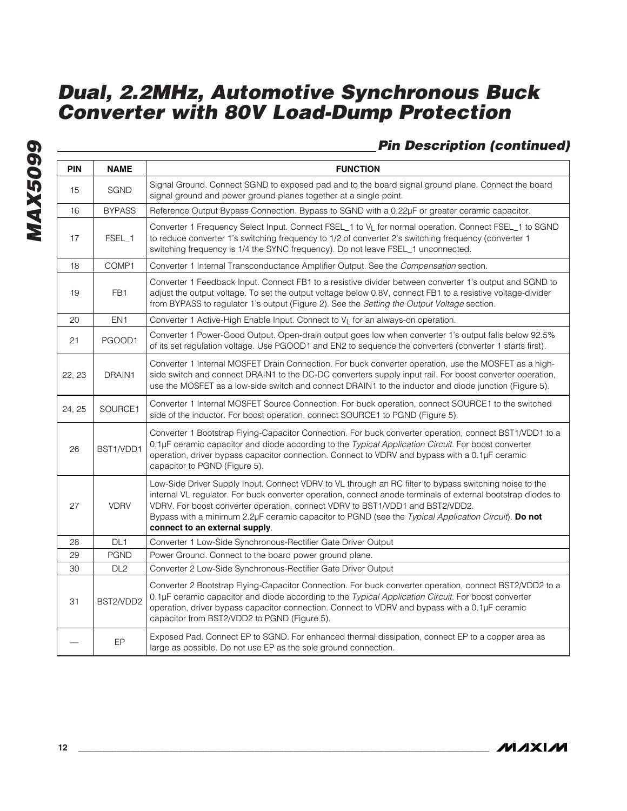### **Pin Description (continued)**

| <b>PIN</b> | <b>NAME</b>     | <b>FUNCTION</b>                                                                                                                                                                                                                                                                                                                                                                                                                                  |
|------------|-----------------|--------------------------------------------------------------------------------------------------------------------------------------------------------------------------------------------------------------------------------------------------------------------------------------------------------------------------------------------------------------------------------------------------------------------------------------------------|
| 15         | SGND            | Signal Ground. Connect SGND to exposed pad and to the board signal ground plane. Connect the board<br>signal ground and power ground planes together at a single point.                                                                                                                                                                                                                                                                          |
| 16         | <b>BYPASS</b>   | Reference Output Bypass Connection. Bypass to SGND with a 0.22µF or greater ceramic capacitor.                                                                                                                                                                                                                                                                                                                                                   |
| 17         | FSEL_1          | Converter 1 Frequency Select Input. Connect FSEL_1 to V <sub>L</sub> for normal operation. Connect FSEL_1 to SGND<br>to reduce converter 1's switching frequency to 1/2 of converter 2's switching frequency (converter 1<br>switching frequency is 1/4 the SYNC frequency). Do not leave FSEL_1 unconnected.                                                                                                                                    |
| 18         | COMP1           | Converter 1 Internal Transconductance Amplifier Output. See the Compensation section.                                                                                                                                                                                                                                                                                                                                                            |
| 19         | FB <sub>1</sub> | Converter 1 Feedback Input. Connect FB1 to a resistive divider between converter 1's output and SGND to<br>adjust the output voltage. To set the output voltage below 0.8V, connect FB1 to a resistive voltage-divider<br>from BYPASS to regulator 1's output (Figure 2). See the Setting the Output Voltage section.                                                                                                                            |
| 20         | EN <sub>1</sub> | Converter 1 Active-High Enable Input. Connect to V <sub>L</sub> for an always-on operation.                                                                                                                                                                                                                                                                                                                                                      |
| 21         | PGOOD1          | Converter 1 Power-Good Output. Open-drain output goes low when converter 1's output falls below 92.5%<br>of its set regulation voltage. Use PGOOD1 and EN2 to sequence the converters (converter 1 starts first).                                                                                                                                                                                                                                |
| 22, 23     | DRAIN1          | Converter 1 Internal MOSFET Drain Connection. For buck converter operation, use the MOSFET as a high-<br>side switch and connect DRAIN1 to the DC-DC converters supply input rail. For boost converter operation,<br>use the MOSFET as a low-side switch and connect DRAIN1 to the inductor and diode junction (Figure 5).                                                                                                                       |
| 24, 25     | SOURCE1         | Converter 1 Internal MOSFET Source Connection. For buck operation, connect SOURCE1 to the switched<br>side of the inductor. For boost operation, connect SOURCE1 to PGND (Figure 5).                                                                                                                                                                                                                                                             |
| 26         | BST1/VDD1       | Converter 1 Bootstrap Flying-Capacitor Connection. For buck converter operation, connect BST1/VDD1 to a<br>0.1µF ceramic capacitor and diode according to the Typical Application Circuit. For boost converter<br>operation, driver bypass capacitor connection. Connect to VDRV and bypass with a 0.1µF ceramic<br>capacitor to PGND (Figure 5).                                                                                                |
| 27         | <b>VDRV</b>     | Low-Side Driver Supply Input. Connect VDRV to VL through an RC filter to bypass switching noise to the<br>internal VL regulator. For buck converter operation, connect anode terminals of external bootstrap diodes to<br>VDRV. For boost converter operation, connect VDRV to BST1/VDD1 and BST2/VDD2.<br>Bypass with a minimum 2.2µF ceramic capacitor to PGND (see the Typical Application Circuit). Do not<br>connect to an external supply. |
| 28         | DL <sub>1</sub> | Converter 1 Low-Side Synchronous-Rectifier Gate Driver Output                                                                                                                                                                                                                                                                                                                                                                                    |
| 29         | <b>PGND</b>     | Power Ground. Connect to the board power ground plane.                                                                                                                                                                                                                                                                                                                                                                                           |
| 30         | DL <sub>2</sub> | Converter 2 Low-Side Synchronous-Rectifier Gate Driver Output                                                                                                                                                                                                                                                                                                                                                                                    |
| 31         | BST2/VDD2       | Converter 2 Bootstrap Flying-Capacitor Connection. For buck converter operation, connect BST2/VDD2 to a<br>0.1µF ceramic capacitor and diode according to the Typical Application Circuit. For boost converter<br>operation, driver bypass capacitor connection. Connect to VDRV and bypass with a 0.1µF ceramic<br>capacitor from BST2/VDD2 to PGND (Figure 5).                                                                                 |
|            | EP              | Exposed Pad. Connect EP to SGND. For enhanced thermal dissipation, connect EP to a copper area as<br>large as possible. Do not use EP as the sole ground connection.                                                                                                                                                                                                                                                                             |

**MAXIM**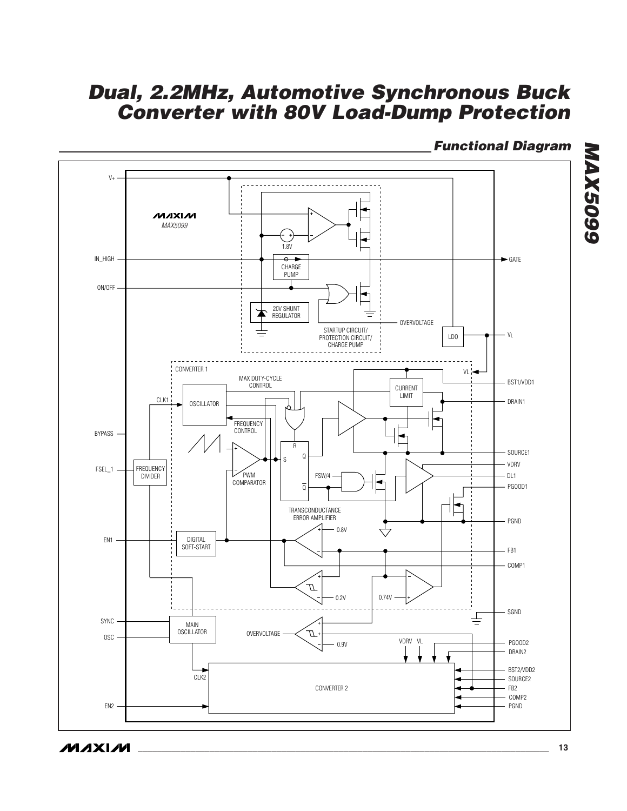### **Functional Diagram**



**MAX5099 MAX5099** 

**MAXIM**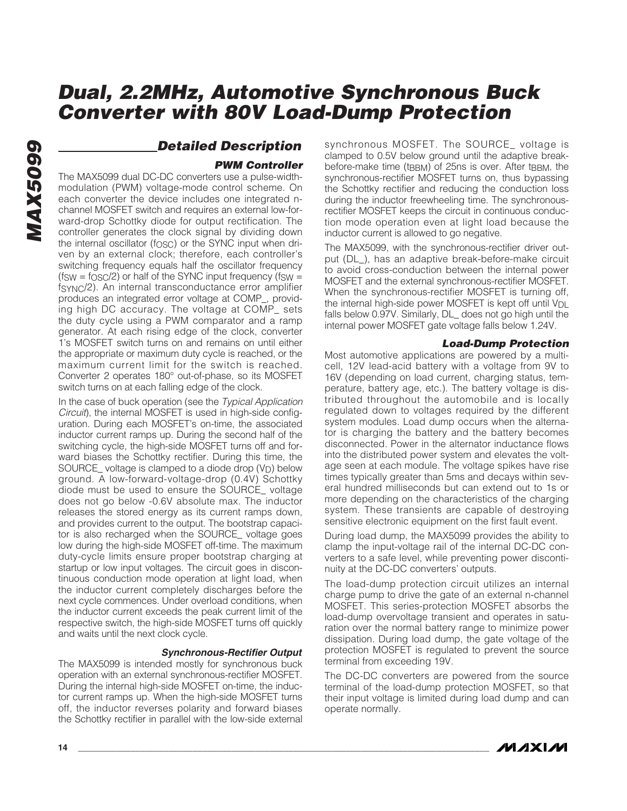# **MAX5099 MAX5099**

### **Detailed Description**

#### **PWM Controller**

The MAX5099 dual DC-DC converters use a pulse-widthmodulation (PWM) voltage-mode control scheme. On each converter the device includes one integrated nchannel MOSFET switch and requires an external low-forward-drop Schottky diode for output rectification. The controller generates the clock signal by dividing down the internal oscillator ( $f$ <sub>OSC</sub>) or the SYNC input when driven by an external clock; therefore, each controller's switching frequency equals half the oscillator frequency  $(f_{SW} = f_{OSC}/2)$  or half of the SYNC input frequency ( $f_{SW} =$ fSYNC/2). An internal transconductance error amplifier produces an integrated error voltage at COMP\_, providing high DC accuracy. The voltage at COMP\_ sets the duty cycle using a PWM comparator and a ramp generator. At each rising edge of the clock, converter 1's MOSFET switch turns on and remains on until either the appropriate or maximum duty cycle is reached, or the maximum current limit for the switch is reached. Converter 2 operates 180° out-of-phase, so its MOSFET switch turns on at each falling edge of the clock.

In the case of buck operation (see the Typical Application Circuit), the internal MOSFET is used in high-side configuration. During each MOSFET's on-time, the associated inductor current ramps up. During the second half of the switching cycle, the high-side MOSFET turns off and forward biases the Schottky rectifier. During this time, the SOURCE\_ voltage is clamped to a diode drop  $(V_D)$  below ground. A low-forward-voltage-drop (0.4V) Schottky diode must be used to ensure the SOURCE\_ voltage does not go below -0.6V absolute max. The inductor releases the stored energy as its current ramps down, and provides current to the output. The bootstrap capacitor is also recharged when the SOURCE\_ voltage goes low during the high-side MOSFET off-time. The maximum duty-cycle limits ensure proper bootstrap charging at startup or low input voltages. The circuit goes in discontinuous conduction mode operation at light load, when the inductor current completely discharges before the next cycle commences. Under overload conditions, when the inductor current exceeds the peak current limit of the respective switch, the high-side MOSFET turns off quickly and waits until the next clock cycle.

#### **Synchronous-Rectifier Output**

The MAX5099 is intended mostly for synchronous buck operation with an external synchronous-rectifier MOSFET. During the internal high-side MOSFET on-time, the inductor current ramps up. When the high-side MOSFET turns off, the inductor reverses polarity and forward biases the Schottky rectifier in parallel with the low-side external

synchronous MOSFET. The SOURCE\_ voltage is clamped to 0.5V below ground until the adaptive breakbefore-make time (t<sub>BBM</sub>) of 25ns is over. After t<sub>BBM</sub>, the synchronous-rectifier MOSFET turns on, thus bypassing the Schottky rectifier and reducing the conduction loss during the inductor freewheeling time. The synchronousrectifier MOSFET keeps the circuit in continuous conduction mode operation even at light load because the inductor current is allowed to go negative.

The MAX5099, with the synchronous-rectifier driver output (DL\_), has an adaptive break-before-make circuit to avoid cross-conduction between the internal power MOSFET and the external synchronous-rectifier MOSFET. When the synchronous-rectifier MOSFET is turning off, the internal high-side power MOSFET is kept off until V<sub>DL</sub> falls below 0.97V. Similarly, DL\_ does not go high until the internal power MOSFET gate voltage falls below 1.24V.

#### **Load-Dump Protection**

Most automotive applications are powered by a multicell, 12V lead-acid battery with a voltage from 9V to 16V (depending on load current, charging status, temperature, battery age, etc.). The battery voltage is distributed throughout the automobile and is locally regulated down to voltages required by the different system modules. Load dump occurs when the alternator is charging the battery and the battery becomes disconnected. Power in the alternator inductance flows into the distributed power system and elevates the voltage seen at each module. The voltage spikes have rise times typically greater than 5ms and decays within several hundred milliseconds but can extend out to 1s or more depending on the characteristics of the charging system. These transients are capable of destroying sensitive electronic equipment on the first fault event.

During load dump, the MAX5099 provides the ability to clamp the input-voltage rail of the internal DC-DC converters to a safe level, while preventing power discontinuity at the DC-DC converters' outputs.

The load-dump protection circuit utilizes an internal charge pump to drive the gate of an external n-channel MOSFET. This series-protection MOSFET absorbs the load-dump overvoltage transient and operates in saturation over the normal battery range to minimize power dissipation. During load dump, the gate voltage of the protection MOSFET is regulated to prevent the source terminal from exceeding 19V.

The DC-DC converters are powered from the source terminal of the load-dump protection MOSFET, so that their input voltage is limited during load dump and can operate normally.

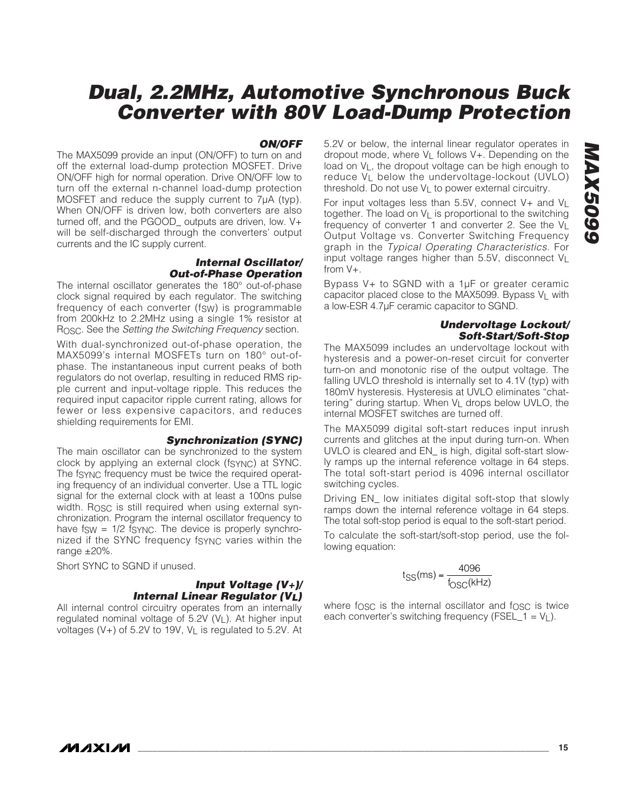#### **ON/OFF**

The MAX5099 provide an input (ON/OFF) to turn on and off the external load-dump protection MOSFET. Drive ON/OFF high for normal operation. Drive ON/OFF low to turn off the external n-channel load-dump protection MOSFET and reduce the supply current to 7μA (typ). When ON/OFF is driven low, both converters are also turned off, and the PGOOD\_ outputs are driven, low. V+ will be self-discharged through the converters' output currents and the IC supply current.

#### **Internal Oscillator/ Out-of-Phase Operation**

The internal oscillator generates the 180° out-of-phase clock signal required by each regulator. The switching frequency of each converter (fsw) is programmable from 200kHz to 2.2MHz using a single 1% resistor at ROSC. See the Setting the Switching Frequency section.

With dual-synchronized out-of-phase operation, the MAX5099's internal MOSFETs turn on 180° out-ofphase. The instantaneous input current peaks of both regulators do not overlap, resulting in reduced RMS ripple current and input-voltage ripple. This reduces the required input capacitor ripple current rating, allows for fewer or less expensive capacitors, and reduces shielding requirements for EMI.

#### **Synchronization (SYNC)**

The main oscillator can be synchronized to the system clock by applying an external clock (fSYNC) at SYNC. The fsync frequency must be twice the required operating frequency of an individual converter. Use a TTL logic signal for the external clock with at least a 100ns pulse width. Rosc is still required when using external synchronization. Program the internal oscillator frequency to have  $f_{SW} = 1/2$  fsync. The device is properly synchronized if the SYNC frequency fSYNC varies within the range  $\pm 20\%$ .

Short SYNC to SGND if unused.

#### **Input Voltage (V+)/ Internal Linear Regulator (VL)**

All internal control circuitry operates from an internally regulated nominal voltage of 5.2V (VL). At higher input voltages (V+) of 5.2V to 19V, VL is regulated to 5.2V. At 5.2V or below, the internal linear regulator operates in dropout mode, where  $V_L$  follows  $V_T$ . Depending on the load on  $V_1$ , the dropout voltage can be high enough to reduce VL below the undervoltage-lockout (UVLO) threshold. Do not use  $V_1$  to power external circuitry.

For input voltages less than  $5.5V$ , connect  $V_+$  and  $V_+$ together. The load on VL is proportional to the switching frequency of converter 1 and converter 2. See the  $V<sub>l</sub>$ Output Voltage vs. Converter Switching Frequency graph in the Typical Operating Characteristics. For input voltage ranges higher than 5.5V, disconnect VL from V+.

Bypass V<sub>+</sub> to SGND with a 1uF or greater ceramic capacitor placed close to the MAX5099. Bypass VL with a low-ESR 4.7μF ceramic capacitor to SGND.

#### **Undervoltage Lockout/ Soft-Start/Soft-Stop**

The MAX5099 includes an undervoltage lockout with hysteresis and a power-on-reset circuit for converter turn-on and monotonic rise of the output voltage. The falling UVLO threshold is internally set to 4.1V (typ) with 180mV hysteresis. Hysteresis at UVLO eliminates "chattering" during startup. When V<sub>L</sub> drops below UVLO, the internal MOSFET switches are turned off.

The MAX5099 digital soft-start reduces input inrush currents and glitches at the input during turn-on. When UVLO is cleared and EN\_ is high, digital soft-start slowly ramps up the internal reference voltage in 64 steps. The total soft-start period is 4096 internal oscillator switching cycles.

Driving EN\_ low initiates digital soft-stop that slowly ramps down the internal reference voltage in 64 steps. The total soft-stop period is equal to the soft-start period.

To calculate the soft-start/soft-stop period, use the following equation:

$$
t_{SS}(ms) = \frac{4096}{f_{OSC}(kHz)}
$$

where fosc is the internal oscillator and fosc is twice each converter's switching frequency (FSEL  $1 = V_1$ ).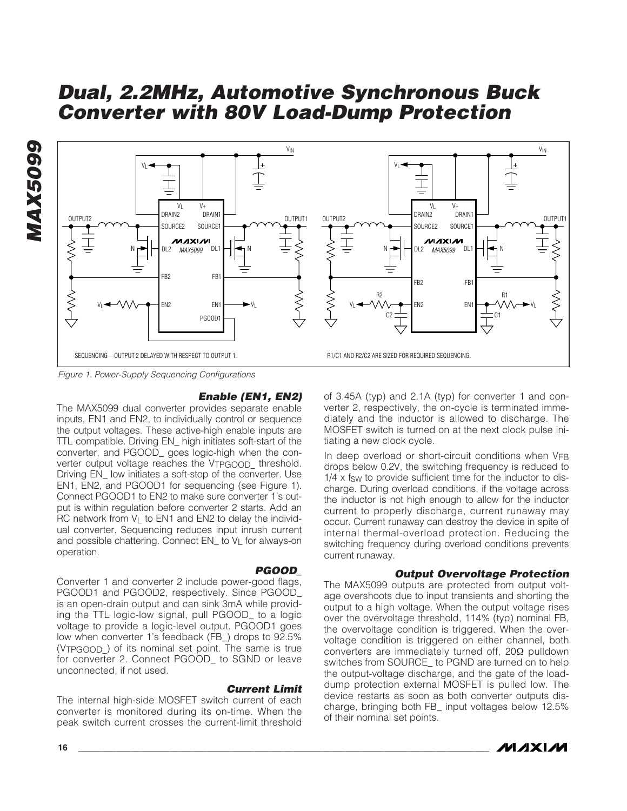



Figure 1. Power-Supply Sequencing Configurations

#### **Enable (EN1, EN2)**

The MAX5099 dual converter provides separate enable inputs, EN1 and EN2, to individually control or sequence the output voltages. These active-high enable inputs are TTL compatible. Driving EN\_ high initiates soft-start of the converter, and PGOOD\_ goes logic-high when the converter output voltage reaches the VTPGOOD threshold. Driving EN low initiates a soft-stop of the converter. Use EN1, EN2, and PGOOD1 for sequencing (see Figure 1). Connect PGOOD1 to EN2 to make sure converter 1's output is within regulation before converter 2 starts. Add an RC network from  $V_L$  to EN1 and EN2 to delay the individual converter. Sequencing reduces input inrush current and possible chattering. Connect EN\_ to V<sub>L</sub> for always-on operation.

#### **PGOOD\_**

Converter 1 and converter 2 include power-good flags, PGOOD1 and PGOOD2, respectively. Since PGOOD\_ is an open-drain output and can sink 3mA while providing the TTL logic-low signal, pull PGOOD to a logic voltage to provide a logic-level output. PGOOD1 goes low when converter 1's feedback (FB\_) drops to 92.5% (V<sub>TPGOOD</sub>) of its nominal set point. The same is true for converter 2. Connect PGOOD\_ to SGND or leave unconnected, if not used.

#### **Current Limit**

The internal high-side MOSFET switch current of each converter is monitored during its on-time. When the peak switch current crosses the current-limit threshold of 3.45A (typ) and 2.1A (typ) for converter 1 and converter 2, respectively, the on-cycle is terminated immediately and the inductor is allowed to discharge. The MOSFET switch is turned on at the next clock pulse initiating a new clock cycle.

In deep overload or short-circuit conditions when VFB drops below 0.2V, the switching frequency is reduced to  $1/4 \times f_{SW}$  to provide sufficient time for the inductor to discharge. During overload conditions, if the voltage across the inductor is not high enough to allow for the inductor current to properly discharge, current runaway may occur. Current runaway can destroy the device in spite of internal thermal-overload protection. Reducing the switching frequency during overload conditions prevents current runaway.

#### **Output Overvoltage Protection**

The MAX5099 outputs are protected from output voltage overshoots due to input transients and shorting the output to a high voltage. When the output voltage rises over the overvoltage threshold, 114% (typ) nominal FB, the overvoltage condition is triggered. When the overvoltage condition is triggered on either channel, both converters are immediately turned off, 20Ω pulldown switches from SOURCE\_ to PGND are turned on to help the output-voltage discharge, and the gate of the loaddump protection external MOSFET is pulled low. The device restarts as soon as both converter outputs discharge, bringing both FB\_ input voltages below 12.5% of their nominal set points.

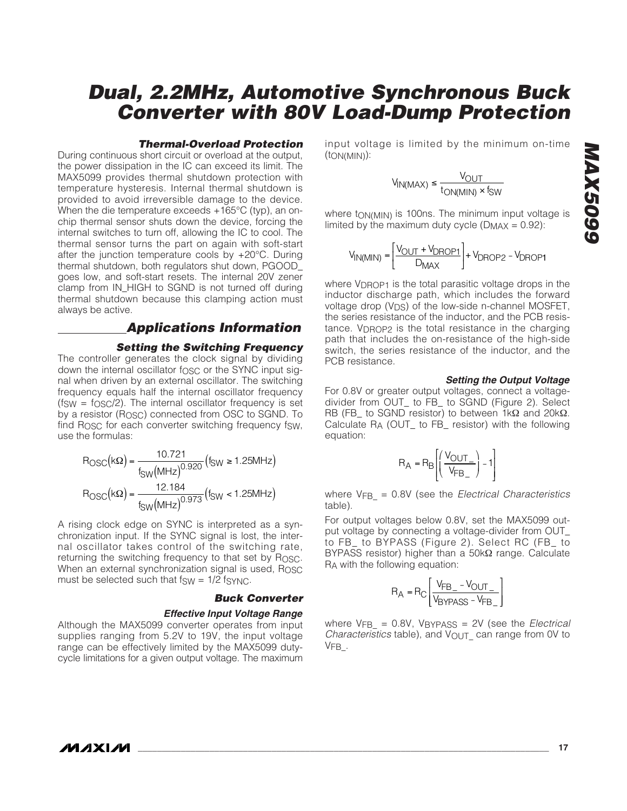# input voltage is limited by the minimum on-time **Dual, 2.2MHz, Automotive Synchronous Buck Converter with 80V Load-Dump Protection**

$$
V_{IN(MAX)} \le \frac{V_{OUT}}{t_{ON(MIN)} \times f_{SW}}
$$

(tON(MIN)):

where ton(MIN) is 100ns. The minimum input voltage is limited by the maximum duty cycle ( $D_{MAX} = 0.92$ ):

$$
V_{IN(MIN)} = \left[\frac{V_{OUT} + V_{DROP1}}{D_{MAX}}\right] + V_{DROP2} - V_{DROP1}
$$

where V<sub>DROP1</sub> is the total parasitic voltage drops in the inductor discharge path, which includes the forward voltage drop  $(V_{DS})$  of the low-side n-channel MOSFET, the series resistance of the inductor, and the PCB resistance. VDROP2 is the total resistance in the charging path that includes the on-resistance of the high-side switch, the series resistance of the inductor, and the PCB resistance.

#### **Setting the Output Voltage**

For 0.8V or greater output voltages, connect a voltagedivider from OUT\_ to FB\_ to SGND (Figure 2). Select RB (FB to SGND resistor) to between 1kΩ and 20kΩ. Calculate RA (OUT\_ to FB\_ resistor) with the following equation:

$$
R_A = R_B \left[ \left( \frac{V_{OUT}}{V_{FB}} \right) - 1 \right]
$$

where  $V_{FB}$  = 0.8V (see the *Electrical Characteristics* table).

For output voltages below 0.8V, set the MAX5099 output voltage by connecting a voltage-divider from OUT\_ to FB\_ to BYPASS (Figure 2). Select RC (FB\_ to BYPASS resistor) higher than a 50kΩ range. Calculate RA with the following equation:

$$
R_A = R_C \left[ \frac{V_{FB\_} - V_{OUT\_}}{V_{BYPASS} - V_{FB\_}} \right]
$$

where  $V_{FB}$  = 0.8V, VBYPASS = 2V (see the Electrical Characteristics table), and  $V_{\text{OUT}}$  can range from 0V to VFB\_.

#### **Thermal-Overload Protection**

During continuous short circuit or overload at the output, the power dissipation in the IC can exceed its limit. The MAX5099 provides thermal shutdown protection with temperature hysteresis. Internal thermal shutdown is provided to avoid irreversible damage to the device. When the die temperature exceeds +165°C (typ), an onchip thermal sensor shuts down the device, forcing the internal switches to turn off, allowing the IC to cool. The thermal sensor turns the part on again with soft-start after the junction temperature cools by +20°C. During thermal shutdown, both regulators shut down, PGOOD\_ goes low, and soft-start resets. The internal 20V zener clamp from IN\_HIGH to SGND is not turned off during thermal shutdown because this clamping action must always be active.

### **Applications Information**

#### **Setting the Switching Frequency**

The controller generates the clock signal by dividing down the internal oscillator fosc or the SYNC input signal when driven by an external oscillator. The switching frequency equals half the internal oscillator frequency  $(f_{SW} = f_{OSC}/2)$ . The internal oscillator frequency is set by a resistor (R<sub>OSC</sub>) connected from OSC to SGND. To find R<sub>OSC</sub> for each converter switching frequency fsw, use the formulas:

$$
R_{\text{OSC}}(k\Omega) = \frac{10.721}{f_{\text{SW}}(MHz)^{0.920}}(f_{\text{SW}} \ge 1.25MHz)
$$

$$
R_{\text{OSC}}(k\Omega) = \frac{12.184}{f_{\text{SW}}(MHz)^{0.973}}(f_{\text{SW}} < 1.25MHz)
$$

A rising clock edge on SYNC is interpreted as a synchronization input. If the SYNC signal is lost, the internal oscillator takes control of the switching rate, returning the switching frequency to that set by Rosc. When an external synchronization signal is used, ROSC must be selected such that  $f_{SW} = 1/2$  fs $Y_{W}C$ .

#### **Buck Converter**

#### **Effective Input Voltage Range**

Although the MAX5099 converter operates from input supplies ranging from 5.2V to 19V, the input voltage range can be effectively limited by the MAX5099 dutycycle limitations for a given output voltage. The maximum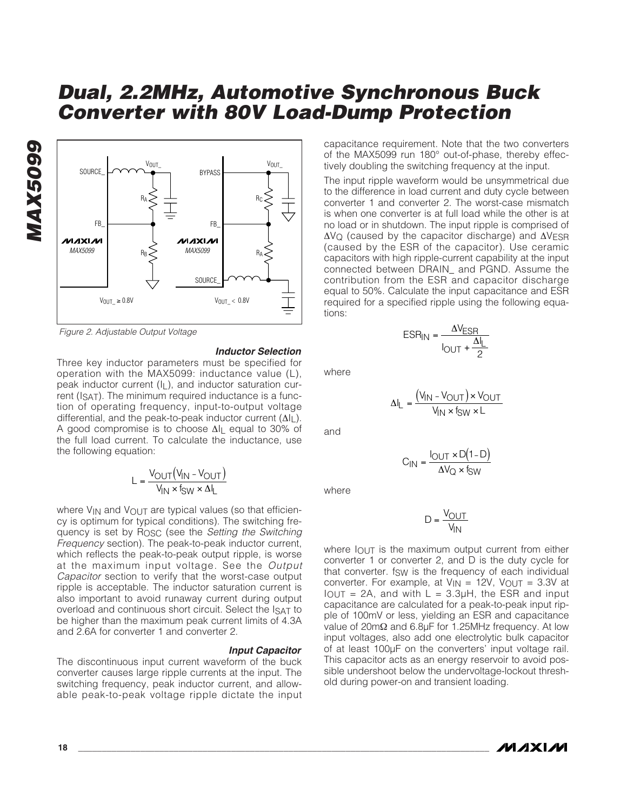

Figure 2. Adjustable Output Voltage

**MAX5099**

**MAX5099** 

#### **Inductor Selection**

Three key inductor parameters must be specified for operation with the MAX5099: inductance value (L), peak inductor current (IL), and inductor saturation current (ISAT). The minimum required inductance is a function of operating frequency, input-to-output voltage differential, and the peak-to-peak inductor current (ΔIL). A good compromise is to choose ΔIL equal to 30% of the full load current. To calculate the inductance, use the following equation:

$$
L = \frac{V_{OUT}(V_{IN} - V_{OUT})}{V_{IN} \times f_{SW} \times \Delta I_L}
$$

where  $V_{IN}$  and  $V_{OUT}$  are typical values (so that efficiency is optimum for typical conditions). The switching frequency is set by ROSC (see the Setting the Switching Frequency section). The peak-to-peak inductor current, which reflects the peak-to-peak output ripple, is worse at the maximum input voltage. See the Output Capacitor section to verify that the worst-case output ripple is acceptable. The inductor saturation current is also important to avoid runaway current during output overload and continuous short circuit. Select the ISAT to be higher than the maximum peak current limits of 4.3A and 2.6A for converter 1 and converter 2.

**Input Capacitor** The discontinuous input current waveform of the buck converter causes large ripple currents at the input. The switching frequency, peak inductor current, and allowable peak-to-peak voltage ripple dictate the input

capacitance requirement. Note that the two converters of the MAX5099 run 180° out-of-phase, thereby effectively doubling the switching frequency at the input.

The input ripple waveform would be unsymmetrical due to the difference in load current and duty cycle between converter 1 and converter 2. The worst-case mismatch is when one converter is at full load while the other is at no load or in shutdown. The input ripple is comprised of ΔVQ (caused by the capacitor discharge) and ΔVESR (caused by the ESR of the capacitor). Use ceramic capacitors with high ripple-current capability at the input connected between DRAIN\_ and PGND. Assume the contribution from the ESR and capacitor discharge equal to 50%. Calculate the input capacitance and ESR required for a specified ripple using the following equations:

$$
ESR_{IN} = \frac{\Delta V_{ESR}}{I_{OUT} + \frac{\Delta I_L}{2}}
$$

 $\Delta I_{L} = \frac{(V_{IN} - V_{OUT}) \times V_{I}}{V_{I}}$  $L = \frac{(V_{IN} - V_{OUT}) \times V_{OUT}}{V_{IN} \times f_{SW} \times L}$ IN <sup>x i</sup>SW  $=\frac{(\mathsf{V}_{\mathsf{IN}}-\mathsf{V}_{\mathsf{OUT}})\times\mathsf{V}_{\mathsf{IN}}}{\mathsf{V}_{\mathsf{IN}}\times\mathsf{f}_{\mathsf{SW}}\times}$ −

where

and

$$
C_{IN} = \frac{I_{OUT} \times D(1 - D)}{\Delta V_{Q} \times f_{SW}}
$$

where

$$
D = \frac{V_{OUT}}{V_{IN}}
$$

where  $I_{\text{OUT}}$  is the maximum output current from either converter 1 or converter 2, and D is the duty cycle for that converter. fsw is the frequency of each individual converter. For example, at  $V_{IN} = 12V$ ,  $V_{OUT} = 3.3V$  at  $I<sub>OUT</sub> = 2A$ , and with  $L = 3.3\mu H$ , the ESR and input capacitance are calculated for a peak-to-peak input ripple of 100mV or less, yielding an ESR and capacitance value of 20mΩ and 6.8μF for 1.25MHz frequency. At low input voltages, also add one electrolytic bulk capacitor of at least 100μF on the converters' input voltage rail. This capacitor acts as an energy reservoir to avoid possible undershoot below the undervoltage-lockout threshold during power-on and transient loading.

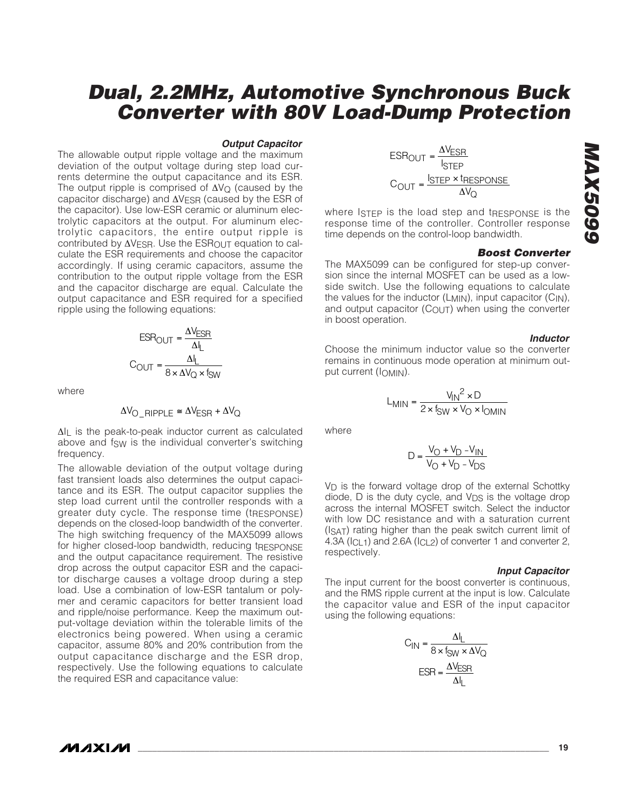#### **Output Capacitor**

The allowable output ripple voltage and the maximum deviation of the output voltage during step load currents determine the output capacitance and its ESR. The output ripple is comprised of  $\Delta V_{\Omega}$  (caused by the capacitor discharge) and ΔVESR (caused by the ESR of the capacitor). Use low-ESR ceramic or aluminum electrolytic capacitors at the output. For aluminum electrolytic capacitors, the entire output ripple is contributed by  $\Delta V_{\text{FSR}}$ . Use the ESR<sub>OUT</sub> equation to calculate the ESR requirements and choose the capacitor accordingly. If using ceramic capacitors, assume the contribution to the output ripple voltage from the ESR and the capacitor discharge are equal. Calculate the output capacitance and ESR required for a specified ripple using the following equations:

$$
ESR_{OUT} = \frac{\Delta V_{ESR}}{\Delta I_L}
$$

$$
C_{OUT} = \frac{\Delta I_L}{8 \times \Delta V_Q \times f_{SW}}
$$

where

$$
\Delta V_{\text{O\_RIPPLE}} \cong \Delta V_{\text{ESR}} + \Delta V_{\text{Q}}
$$

ΔIL is the peak-to-peak inductor current as calculated above and fsw is the individual converter's switching frequency.

The allowable deviation of the output voltage during fast transient loads also determines the output capacitance and its ESR. The output capacitor supplies the step load current until the controller responds with a greater duty cycle. The response time (tRESPONSE) depends on the closed-loop bandwidth of the converter. The high switching frequency of the MAX5099 allows for higher closed-loop bandwidth, reducing tRESPONSE and the output capacitance requirement. The resistive drop across the output capacitor ESR and the capacitor discharge causes a voltage droop during a step load. Use a combination of low-ESR tantalum or polymer and ceramic capacitors for better transient load and ripple/noise performance. Keep the maximum output-voltage deviation within the tolerable limits of the electronics being powered. When using a ceramic capacitor, assume 80% and 20% contribution from the output capacitance discharge and the ESR drop, respectively. Use the following equations to calculate the required ESR and capacitance value:

$$
ESR_{OUT} = \frac{\Delta V_{ESR}}{I_{STEP}}
$$

$$
C_{OUT} = \frac{I_{STEP} \times I_{RESPONSE}}{\Delta V_Q}
$$

where ISTEP is the load step and tRESPONSE is the response time of the controller. Controller response time depends on the control-loop bandwidth.

#### **Boost Converter**

The MAX5099 can be configured for step-up conversion since the internal MOSFET can be used as a lowside switch. Use the following equations to calculate the values for the inductor (L<sub>MIN</sub>), input capacitor (C<sub>IN</sub>), and output capacitor  $(C_{\text{OUT}})$  when using the converter in boost operation.

#### **Inductor**

Choose the minimum inductor value so the converter remains in continuous mode operation at minimum output current (IOMIN).

$$
L_{MIN} = \frac{V_{IN}^2 \times D}{2 \times f_{SW} \times V_O \times I_{OMIN}}
$$

where

$$
D = \frac{V_O + V_D - V_{IN}}{V_O + V_D - V_{DS}}
$$

 $V_D$  is the forward voltage drop of the external Schottky diode,  $D$  is the duty cycle, and  $V_{DS}$  is the voltage drop across the internal MOSFET switch. Select the inductor with low DC resistance and with a saturation current (ISAT) rating higher than the peak switch current limit of 4.3A (I<sub>CL1</sub>) and 2.6A (I<sub>CL2</sub>) of converter 1 and converter 2, respectively.

#### **Input Capacitor**

The input current for the boost converter is continuous, and the RMS ripple current at the input is low. Calculate the capacitor value and ESR of the input capacitor using the following equations:

$$
C_{IN} = \frac{\Delta I_L}{8 \times f_{SW} \times \Delta V_Q}
$$

$$
ESR = \frac{\Delta V_{ESR}}{\Delta I_L}
$$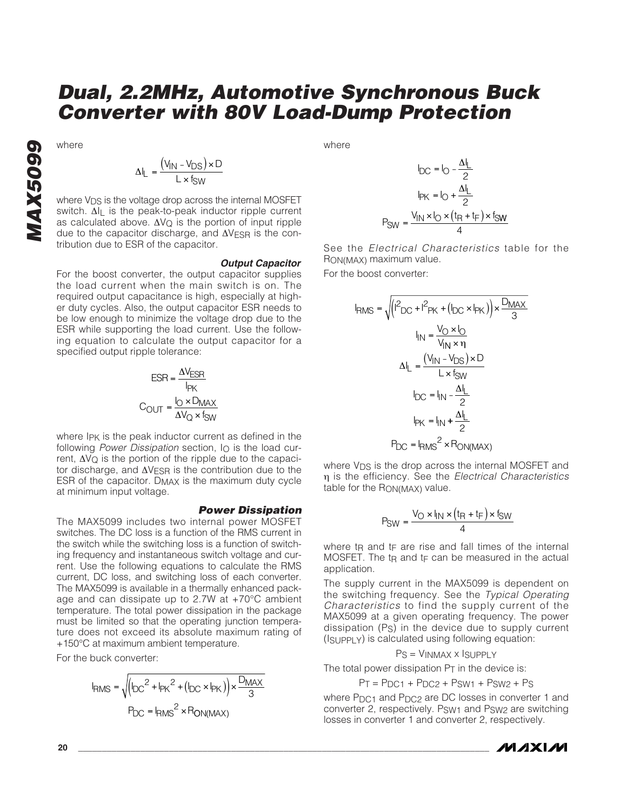where

$$
\Delta I_{L} = \frac{(V_{IN} - V_{DS}) \times D}{L \times f_{SW}}
$$

where  $V_{DS}$  is the voltage drop across the internal MOSFET switch. Δl<sub>l</sub> is the peak-to-peak inductor ripple current as calculated above.  $ΔVQ$  is the portion of input ripple due to the capacitor discharge, and  $ΔV<sub>FSR</sub>$  is the contribution due to ESR of the capacitor.

#### **Output Capacitor**

For the boost converter, the output capacitor supplies the load current when the main switch is on. The required output capacitance is high, especially at higher duty cycles. Also, the output capacitor ESR needs to be low enough to minimize the voltage drop due to the ESR while supporting the load current. Use the following equation to calculate the output capacitor for a specified output ripple tolerance:

$$
ESR = \frac{\Delta V_{ESR}}{I_{PK}}
$$

$$
C_{OUT} = \frac{I_{O} \times D_{MAX}}{\Delta V_{Q} \times f_{SW}}
$$

where I<sub>PK</sub> is the peak inductor current as defined in the following Power Dissipation section,  $I<sub>O</sub>$  is the load current,  $\Delta V_Q$  is the portion of the ripple due to the capacitor discharge, and  $\Delta V_{ESR}$  is the contribution due to the ESR of the capacitor. DMAX is the maximum duty cycle at minimum input voltage.

#### **Power Dissipation**

The MAX5099 includes two internal power MOSFET switches. The DC loss is a function of the RMS current in the switch while the switching loss is a function of switching frequency and instantaneous switch voltage and current. Use the following equations to calculate the RMS current, DC loss, and switching loss of each converter. The MAX5099 is available in a thermally enhanced package and can dissipate up to 2.7W at +70°C ambient temperature. The total power dissipation in the package must be limited so that the operating junction temperature does not exceed its absolute maximum rating of +150°C at maximum ambient temperature.

For the buck converter:

$$
I_{RMS} = \sqrt{\left(I_{DC}^2 + I_{PK}^2 + (I_{DC} \times I_{PK})\right) \times \frac{D_{MAX}}{3}}
$$
  
Pro = I\_{RMS}^2 \times R\_{ON(MAX)}

where

$$
I_{DC} = I_{O} - \frac{\Delta I_{L}}{2}
$$

$$
I_{PK} = I_{O} + \frac{\Delta I_{L}}{2}
$$

$$
P_{SW} = \frac{V_{IN} \times I_{O} \times (t_{R} + t_{F}) \times f_{SW}}{4}
$$

See the Electrical Characteristics table for the RON(MAX) maximum value.

For the boost converter:

$$
I_{RMS} = \sqrt{\left( I^2_{DC} + I^2_{PK} + (I_{DC} \times I_{PK}) \right) \times \frac{D_{MAX}}{3}}
$$
\n
$$
I_{1N} = \frac{V_{O} \times I_{O}}{V_{1N} \times \eta}
$$
\n
$$
\Delta I_{L} = \frac{(V_{1N} - V_{DS}) \times D}{L \times f_{SW}}
$$
\n
$$
I_{DC} = I_{1N} - \frac{\Delta I_{L}}{2}
$$
\n
$$
I_{PK} = I_{1N} + \frac{\Delta I_{L}}{2}
$$
\n
$$
P_{DC} = I_{RMS}^2 \times R_{ON(MAX)}
$$

where V<sub>DS</sub> is the drop across the internal MOSFET and η is the efficiency. See the Electrical Characteristics table for the RON(MAX) value.

$$
P_{SW} = \frac{V_O \times I_{IN} \times (t_R + t_F) \times I_{SW}}{4}
$$

where t<sub>R</sub> and t<sub>F</sub> are rise and fall times of the internal MOSFET. The  $tp$  and  $tp$  can be measured in the actual application.

The supply current in the MAX5099 is dependent on the switching frequency. See the Typical Operating Characteristics to find the supply current of the MAX5099 at a given operating frequency. The power dissipation (PS) in the device due to supply current (ISUPPLY) is calculated using following equation:

PS = VINMAX x ISUPPLY

The total power dissipation  $P_T$  in the device is:

 $PT = PDC1 + PDC2 + PSW1 + PSW2 + PS$ 

where P<sub>DC1</sub> and P<sub>DC2</sub> are DC losses in converter 1 and converter 2, respectively. Psw<sub>1</sub> and Psw<sub>2</sub> are switching losses in converter 1 and converter 2, respectively.

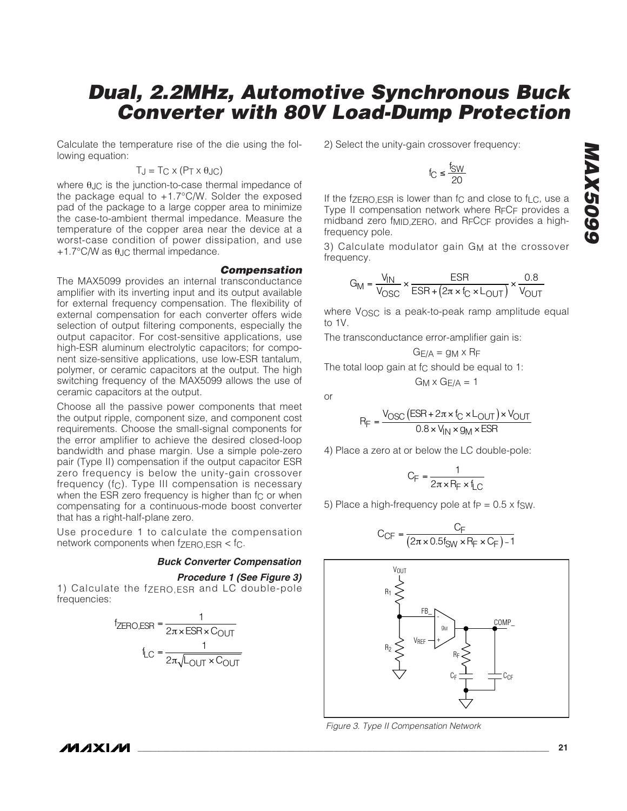Calculate the temperature rise of the die using the following equation:

#### $T_J = T_C \times (P_T \times \theta_{JC})$

where  $θ$ <sub>JC</sub> is the junction-to-case thermal impedance of the package equal to +1.7°C/W. Solder the exposed pad of the package to a large copper area to minimize the case-to-ambient thermal impedance. Measure the temperature of the copper area near the device at a worst-case condition of power dissipation, and use  $+1.7$ °C/W as  $\theta$ . Ic thermal impedance.

#### **Compensation**

The MAX5099 provides an internal transconductance amplifier with its inverting input and its output available for external frequency compensation. The flexibility of external compensation for each converter offers wide selection of output filtering components, especially the output capacitor. For cost-sensitive applications, use high-ESR aluminum electrolytic capacitors; for component size-sensitive applications, use low-ESR tantalum, polymer, or ceramic capacitors at the output. The high switching frequency of the MAX5099 allows the use of ceramic capacitors at the output.

Choose all the passive power components that meet the output ripple, component size, and component cost requirements. Choose the small-signal components for the error amplifier to achieve the desired closed-loop bandwidth and phase margin. Use a simple pole-zero pair (Type II) compensation if the output capacitor ESR zero frequency is below the unity-gain crossover frequency (fC). Type III compensation is necessary when the ESR zero frequency is higher than fc or when compensating for a continuous-mode boost converter that has a right-half-plane zero.

Use procedure 1 to calculate the compensation network components when  $f_{\rm ZERO,ESR} < f_C$ .

#### **Buck Converter Compensation**

#### **Procedure 1 (See Figure 3)**

1) Calculate the fzero, ESR and LC double-pole frequencies:



2) Select the unity-gain crossover frequency:

$$
f_C \leq \frac{f_{SW}}{20}
$$

If the f $ZERO.ESR$  is lower than fc and close to f<sub>LC</sub>, use a Type II compensation network where RFCF provides a midband zero f<sub>MID, ZERO</sub>, and R<sub>F</sub>C<sub>CF</sub> provides a highfrequency pole.

3) Calculate modulator gain G<sub>M</sub> at the crossover frequency.

$$
G_{\text{M}} = \frac{V_{\text{IN}}}{V_{\text{OSC}}} \times \frac{\text{ESR}}{\text{ESR} + (2\pi \times f_{\text{C}} \times L_{\text{OUT}})} \times \frac{0.8}{V_{\text{OUT}}}
$$

where VOSC is a peak-to-peak ramp amplitude equal to 1V.

The transconductance error-amplifier gain is:

$$
G_{E/A} = g_M \times R_F
$$

The total loop gain at fc should be equal to 1:  $G_M \times G_F/A = 1$ 

or

$$
R_F = \frac{V_{\text{OSC}} \left( \text{ESR} + 2\pi \times I_{\text{C}} \times L_{\text{OUT}} \right) \times V_{\text{OUT}}}{0.8 \times V_{\text{IN}} \times g_{\text{M}} \times \text{ESR}}
$$

4) Place a zero at or below the LC double-pole:

$$
C_F = \frac{1}{2\pi \times R_F \times f_{LC}}
$$

5) Place a high-frequency pole at  $fp = 0.5 \times fSW$ .

$$
C_{CF} = \frac{C_F}{(2\pi \times 0.5f_{SW} \times R_F \times C_F) - 1}
$$



Figure 3. Type II Compensation Network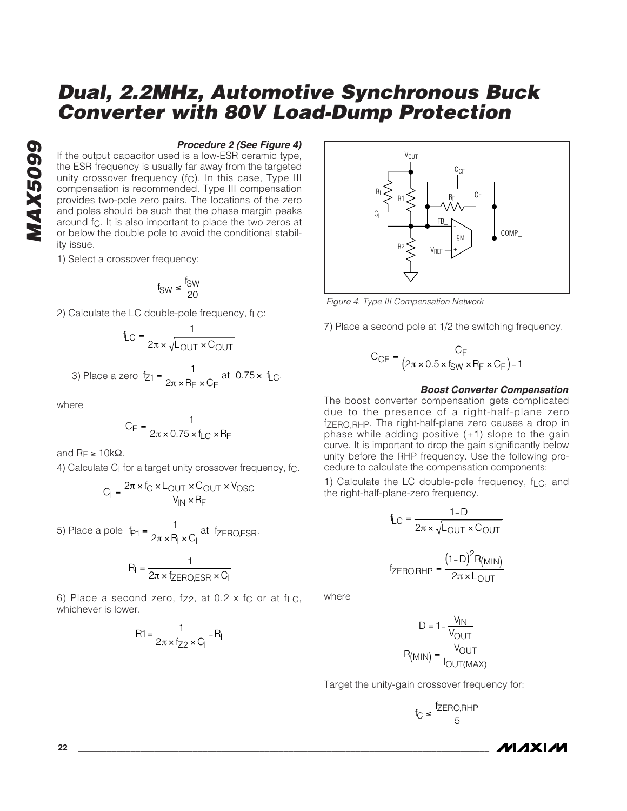#### **Procedure 2 (See Figure 4)**

If the output capacitor used is a low-ESR ceramic type, the ESR frequency is usually far away from the targeted unity crossover frequency (fc). In this case, Type III compensation is recommended. Type III compensation provides two-pole zero pairs. The locations of the zero and poles should be such that the phase margin peaks around fc. It is also important to place the two zeros at or below the double pole to avoid the conditional stability issue.

1) Select a crossover frequency:

$$
f_{SW} \leq \frac{f_{SW}}{20}
$$

2) Calculate the LC double-pole frequency,  $f_{LC}$ :

$$
f_{LC} = \frac{1}{2\pi \times \sqrt{L_{OUT} \times C_{OUT}}}
$$

3) Place a zero 
$$
f_{Z1} = \frac{1}{2\pi \times R_F \times C_F}
$$
 at 0.75 x  $f_{LC}$ .

where

$$
C_F = \frac{1}{2\pi \times 0.75 \times f_{LC} \times R_F}
$$

and  $\text{R}_F \geq 10 \text{k}\Omega$ .

4) Calculate C<sub>I</sub> for a target unity crossover frequency, fc.

$$
C_1 = \frac{2\pi \times I_C \times L_{OUT} \times C_{OUT} \times V_{OSC}}{V_{IN} \times R_F}
$$

5) Place a pole  $f_{\text{P1}} = \frac{1}{2\pi \times P_{\text{I}} \times C_{\text{I}}}$ at fzero, esn  $=\frac{1}{2\pi\times R_l\times C_l}$ at f<sub>ZERO,ESR</sub>.

$$
R_{I} = \frac{1}{2\pi \times f_{\text{ZERO,ESR}} \times C_{I}}
$$

6) Place a second zero, fz2, at 0.2 x fc or at fi.e. whichever is lower.

$$
R1 = \frac{1}{2\pi \times f_{Z2} \times C_1} - R_1
$$



Figure 4. Type III Compensation Network

7) Place a second pole at 1/2 the switching frequency.

$$
C_{CF} = \frac{C_F}{(2\pi \times 0.5 \times f_{SW} \times P_F \times C_F) - 1}
$$

#### **Boost Converter Compensation**

The boost converter compensation gets complicated due to the presence of a right-half-plane zero fZERO,RHP. The right-half-plane zero causes a drop in phase while adding positive (+1) slope to the gain curve. It is important to drop the gain significantly below unity before the RHP frequency. Use the following procedure to calculate the compensation components:

1) Calculate the LC double-pole frequency, f<sub>LC</sub>, and the right-half-plane-zero frequency.

$$
f_{LC} = \frac{1-D}{2\pi \times \sqrt{L_{OUT} \times C_{OUT}}}
$$

$$
f_{\text{ZERO,RHP}} = \frac{(1-D)^{2}R_{\text{(MIN)}}}{2\pi \times L_{\text{OUT}}}
$$

where

$$
D = 1 - \frac{V_{IN}}{V_{OUT}}
$$

$$
R_{(MIN)} = \frac{V_{OUT}}{V_{OUT(MAX)}}
$$

Target the unity-gain crossover frequency for:

$$
f_C \leq \frac{f_{ZERO, RHP}}{5}
$$

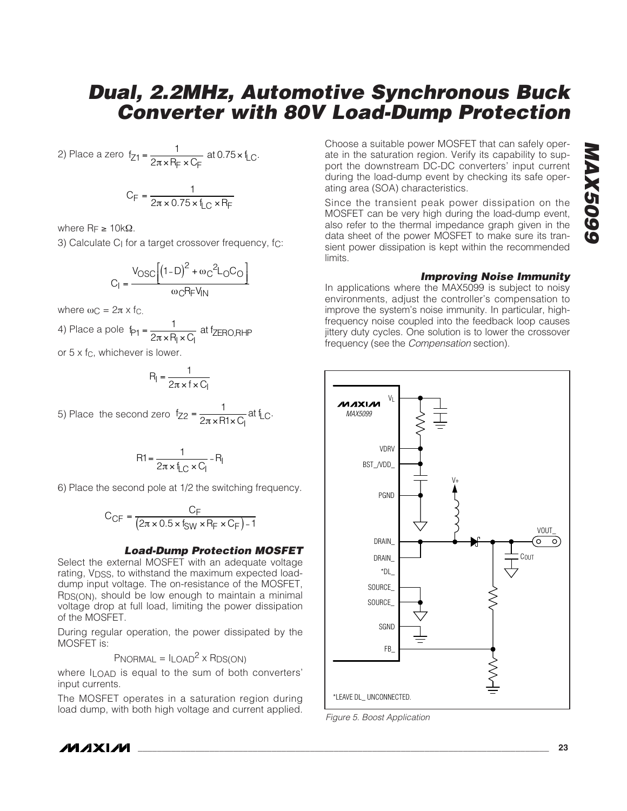2) Place a zero  $f_{Z1} = \frac{1}{2\pi \times R_F \times C_F}$  at 0.75  $\times$  f<sub>LC</sub>  $=\frac{1}{2\pi\times R_F \times C_F}$  at 0.75  $\times$  f<sub>LC</sub>.

$$
C_F = \frac{1}{2\pi \times 0.75 \times I_{LC} \times R_F}
$$

where  $R_F$  ≥ 10kΩ.

3) Calculate C<sub>I</sub> for a target crossover frequency, f<sub>C</sub>:

$$
C_{I} = \frac{V_{OSC}\left[\left(1-D\right)^{2} + \omega_{C}^{2}L_{O}C_{O}\right]}{\omega_{C}R_{F}V_{IN}}
$$

where  $\omega_C = 2\pi \times f_C$ .

4) Place a pole 
$$
f_{P1} = \frac{1}{2\pi \times P_1 \times C_1}
$$
 at f<sub>ZERO,RHP</sub>

or  $5 \times f_C$ , whichever is lower.

$$
R_{I} = \frac{1}{2\pi \times f \times C_{I}}
$$

5) Place the second zero  $f_{Z2} = \frac{1}{2\pi \times R1 \times C_1}$  at  $f_{LC}$  $=\frac{1}{2\pi\times R1\times C_1}$  at f<sub>LC</sub>.

$$
R1 = \frac{1}{2\pi \times f_{LC} \times C_1} - R_1
$$

6) Place the second pole at 1/2 the switching frequency.

$$
C_{CF} = \frac{C_F}{(2\pi \times 0.5 \times f_{SW} \times R_F \times C_F) - 1}
$$

#### **Load-Dump Protection MOSFET**

Select the external MOSFET with an adequate voltage rating, V<sub>DSS</sub>, to withstand the maximum expected loaddump input voltage. The on-resistance of the MOSFET, RDS(ON), should be low enough to maintain a minimal voltage drop at full load, limiting the power dissipation of the MOSFET.

During regular operation, the power dissipated by the MOSFET is:

 $PNORMAL = ILOAD<sup>2</sup> \times RDS(ON)$ 

where  $I$ <sub>LOAD</sub> is equal to the sum of both converters' input currents.

The MOSFET operates in a saturation region during load dump, with both high voltage and current applied.

Choose a suitable power MOSFET that can safely operate in the saturation region. Verify its capability to support the downstream DC-DC converters' input current during the load-dump event by checking its safe operating area (SOA) characteristics.

Since the transient peak power dissipation on the MOSFET can be very high during the load-dump event, also refer to the thermal impedance graph given in the data sheet of the power MOSFET to make sure its transient power dissipation is kept within the recommended limits.

#### **Improving Noise Immunity**

In applications where the MAX5099 is subject to noisy environments, adjust the controller's compensation to improve the system's noise immunity. In particular, highfrequency noise coupled into the feedback loop causes jittery duty cycles. One solution is to lower the crossover frequency (see the Compensation section).



Figure 5. Boost Application

/VI /I X I /VI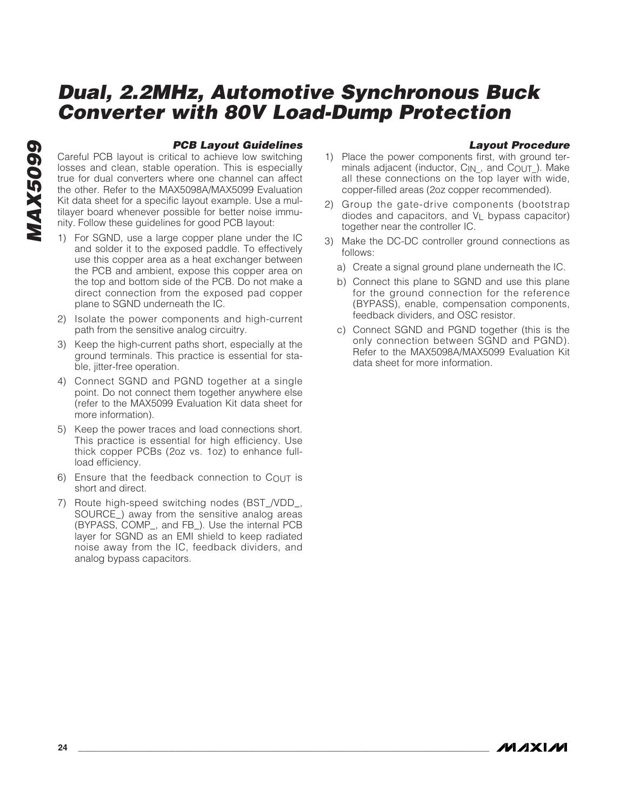#### **PCB Layout Guidelines**

Careful PCB layout is critical to achieve low switching losses and clean, stable operation. This is especially true for dual converters where one channel can affect the other. Refer to the MAX5098A/MAX5099 Evaluation Kit data sheet for a specific layout example. Use a multilayer board whenever possible for better noise immunity. Follow these guidelines for good PCB layout:

- 1) For SGND, use a large copper plane under the IC and solder it to the exposed paddle. To effectively use this copper area as a heat exchanger between the PCB and ambient, expose this copper area on the top and bottom side of the PCB. Do not make a direct connection from the exposed pad copper plane to SGND underneath the IC.
- 2) Isolate the power components and high-current path from the sensitive analog circuitry.
- 3) Keep the high-current paths short, especially at the ground terminals. This practice is essential for stable, jitter-free operation.
- 4) Connect SGND and PGND together at a single point. Do not connect them together anywhere else (refer to the MAX5099 Evaluation Kit data sheet for more information).
- 5) Keep the power traces and load connections short. This practice is essential for high efficiency. Use thick copper PCBs (2oz vs. 1oz) to enhance fullload efficiency.
- 6) Ensure that the feedback connection to  $C_{\text{OUT}}$  is short and direct.
- 7) Route high-speed switching nodes (BST\_/VDD\_, SOURCE\_) away from the sensitive analog areas (BYPASS, COMP\_, and FB\_). Use the internal PCB layer for SGND as an EMI shield to keep radiated noise away from the IC, feedback dividers, and analog bypass capacitors.

#### **Layout Procedure**

- 1) Place the power components first, with ground terminals adjacent (inductor, C<sub>IN</sub>, and C<sub>OUT</sub>). Make all these connections on the top layer with wide, copper-filled areas (2oz copper recommended).
- 2) Group the gate-drive components (bootstrap diodes and capacitors, and  $V_1$  bypass capacitor) together near the controller IC.
- 3) Make the DC-DC controller ground connections as follows:
	- a) Create a signal ground plane underneath the IC.
	- b) Connect this plane to SGND and use this plane for the ground connection for the reference (BYPASS), enable, compensation components, feedback dividers, and OSC resistor.
	- c) Connect SGND and PGND together (this is the only connection between SGND and PGND). Refer to the MAX5098A/MAX5099 Evaluation Kit data sheet for more information.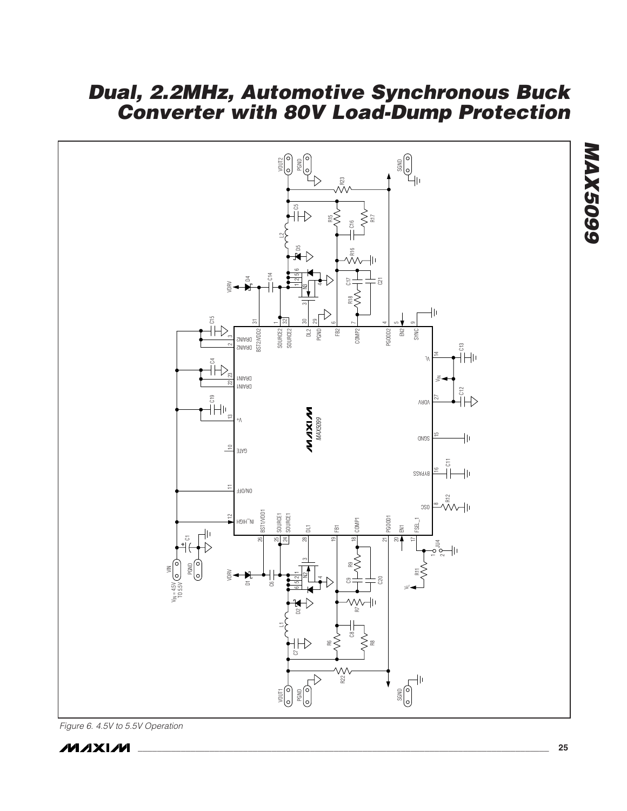

Figure 6. 4.5V to 5.5V Operation



**MAX5099**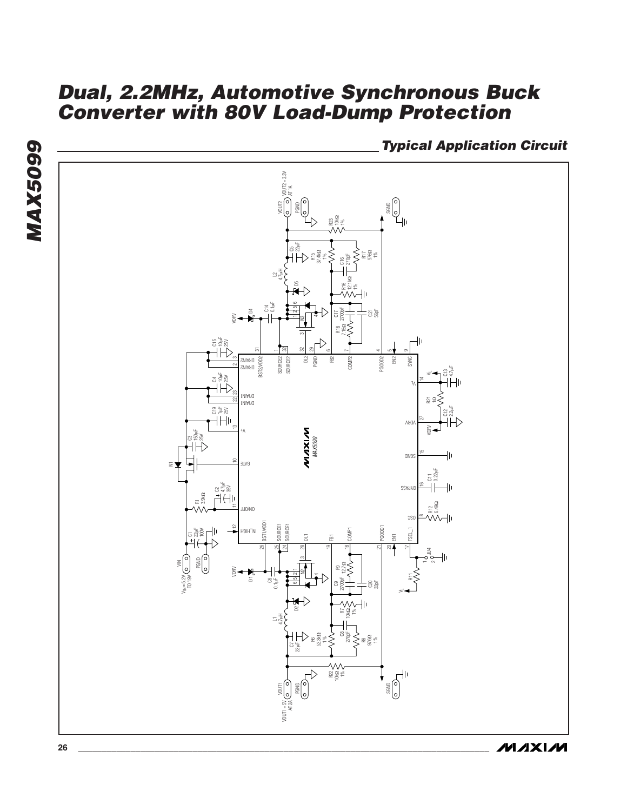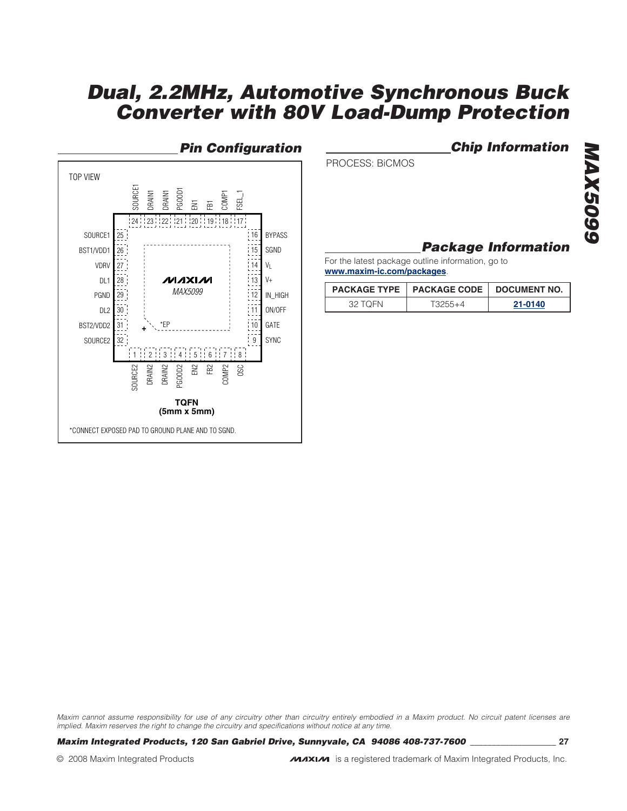

**Pin Configuration Chip Information** 

PROCESS: BiCMOS

# **MAX5099 MAX5099**

### **Package Information**

For the latest package outline information, go to **www.maxim-ic.com/packages**.

|         | PACKAGE TYPE   PACKAGE CODE   DOCUMENT NO. |         |  |  |
|---------|--------------------------------------------|---------|--|--|
| 32 TOEN | $13255 + 4$                                | 21-0140 |  |  |

Maxim cannot assume responsibility for use of any circuitry other than circuitry entirely embodied in a Maxim product. No circuit patent licenses are implied. Maxim reserves the right to change the circuitry and specifications without notice at any time.